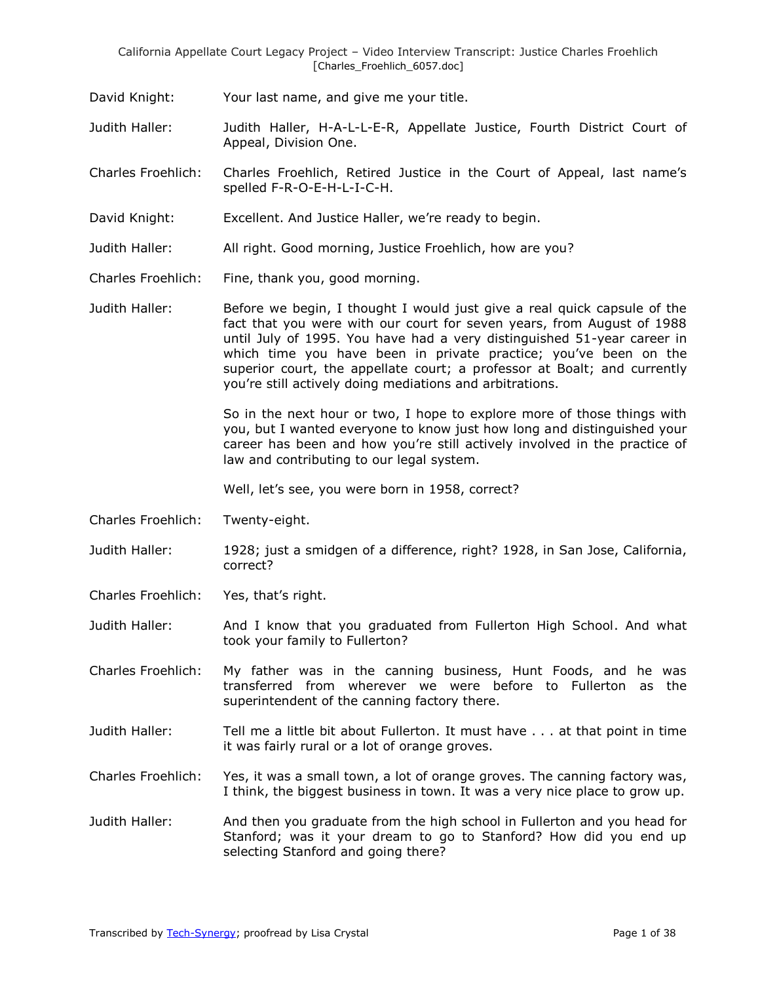David Knight: Your last name, and give me your title.

Judith Haller: Judith Haller, H-A-L-L-E-R, Appellate Justice, Fourth District Court of Appeal, Division One.

Charles Froehlich: Charles Froehlich, Retired Justice in the Court of Appeal, last name's spelled F-R-O-E-H-L-I-C-H.

- David Knight: Excellent. And Justice Haller, we're ready to begin.
- Judith Haller: All right. Good morning, Justice Froehlich, how are you?
- Charles Froehlich: Fine, thank you, good morning.

Judith Haller: Before we begin, I thought I would just give a real quick capsule of the fact that you were with our court for seven years, from August of 1988 until July of 1995. You have had a very distinguished 51-year career in which time you have been in private practice; you've been on the superior court, the appellate court; a professor at Boalt; and currently you're still actively doing mediations and arbitrations.

> So in the next hour or two, I hope to explore more of those things with you, but I wanted everyone to know just how long and distinguished your career has been and how you're still actively involved in the practice of law and contributing to our legal system.

Well, let's see, you were born in 1958, correct?

- Charles Froehlich: Twenty-eight.
- Judith Haller: 1928; just a smidgen of a difference, right? 1928, in San Jose, California, correct?
- Charles Froehlich: Yes, that's right.

Judith Haller: And I know that you graduated from Fullerton High School. And what took your family to Fullerton?

Charles Froehlich: My father was in the canning business, Hunt Foods, and he was transferred from wherever we were before to Fullerton as the superintendent of the canning factory there.

- Judith Haller: Tell me a little bit about Fullerton. It must have . . . at that point in time it was fairly rural or a lot of orange groves.
- Charles Froehlich: Yes, it was a small town, a lot of orange groves. The canning factory was, I think, the biggest business in town. It was a very nice place to grow up.
- Judith Haller: And then you graduate from the high school in Fullerton and you head for Stanford; was it your dream to go to Stanford? How did you end up selecting Stanford and going there?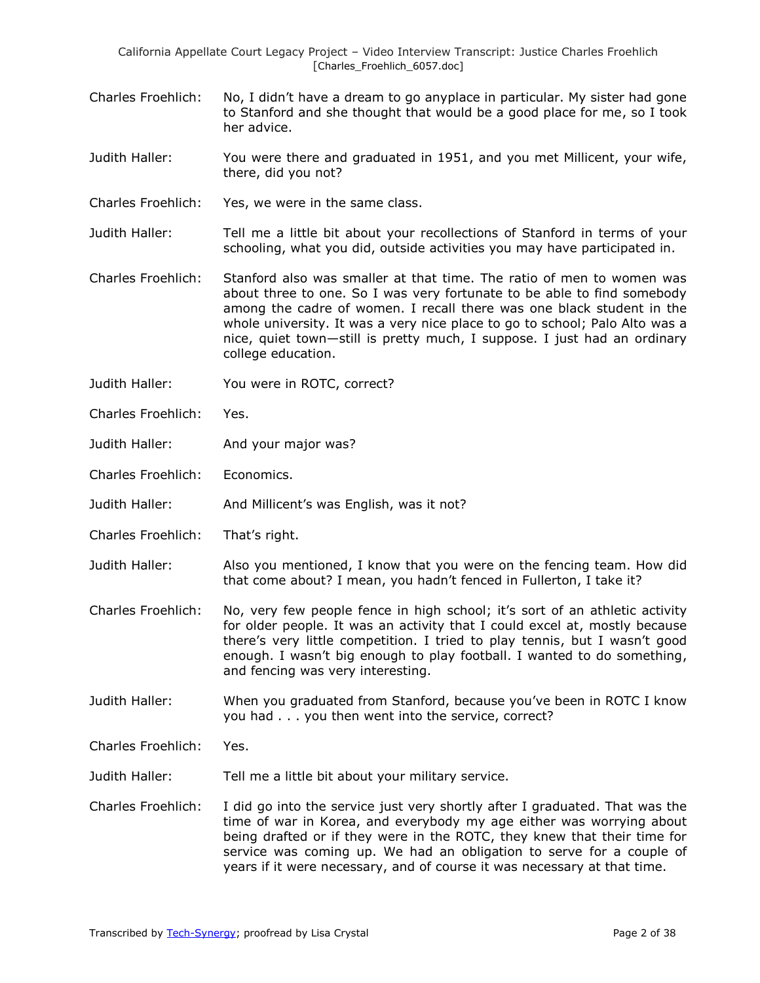- Charles Froehlich: No, I didn't have a dream to go anyplace in particular. My sister had gone to Stanford and she thought that would be a good place for me, so I took her advice.
- Judith Haller: You were there and graduated in 1951, and you met Millicent, your wife, there, did you not?
- Charles Froehlich: Yes, we were in the same class.
- Judith Haller: Tell me a little bit about your recollections of Stanford in terms of your schooling, what you did, outside activities you may have participated in.
- Charles Froehlich: Stanford also was smaller at that time. The ratio of men to women was about three to one. So I was very fortunate to be able to find somebody among the cadre of women. I recall there was one black student in the whole university. It was a very nice place to go to school; Palo Alto was a nice, quiet town—still is pretty much, I suppose. I just had an ordinary college education.
- Judith Haller: You were in ROTC, correct?
- Charles Froehlich: Yes.
- Judith Haller: And your major was?
- Charles Froehlich: Economics.
- Judith Haller: And Millicent's was English, was it not?
- Charles Froehlich: That's right.
- Judith Haller: Also you mentioned, I know that you were on the fencing team. How did that come about? I mean, you hadn't fenced in Fullerton, I take it?
- Charles Froehlich: No, very few people fence in high school; it's sort of an athletic activity for older people. It was an activity that I could excel at, mostly because there's very little competition. I tried to play tennis, but I wasn't good enough. I wasn't big enough to play football. I wanted to do something, and fencing was very interesting.
- Judith Haller: When you graduated from Stanford, because you've been in ROTC I know you had . . . you then went into the service, correct?
- Charles Froehlich: Yes.
- Judith Haller: Tell me a little bit about your military service.
- Charles Froehlich: I did go into the service just very shortly after I graduated. That was the time of war in Korea, and everybody my age either was worrying about being drafted or if they were in the ROTC, they knew that their time for service was coming up. We had an obligation to serve for a couple of years if it were necessary, and of course it was necessary at that time.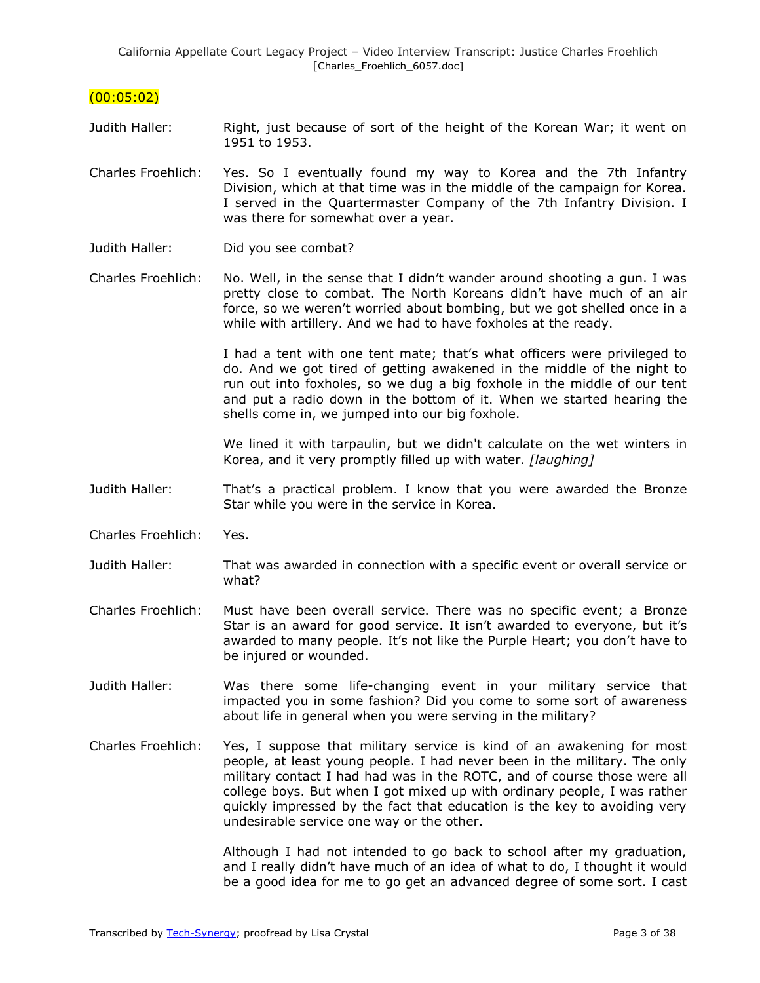## $(00:05:02)$

- Judith Haller: Right, just because of sort of the height of the Korean War; it went on 1951 to 1953.
- Charles Froehlich: Yes. So I eventually found my way to Korea and the 7th Infantry Division, which at that time was in the middle of the campaign for Korea. I served in the Quartermaster Company of the 7th Infantry Division. I was there for somewhat over a year.
- Judith Haller: Did you see combat?
- Charles Froehlich: No. Well, in the sense that I didn't wander around shooting a gun. I was pretty close to combat. The North Koreans didn't have much of an air force, so we weren't worried about bombing, but we got shelled once in a while with artillery. And we had to have foxholes at the ready.

I had a tent with one tent mate; that's what officers were privileged to do. And we got tired of getting awakened in the middle of the night to run out into foxholes, so we dug a big foxhole in the middle of our tent and put a radio down in the bottom of it. When we started hearing the shells come in, we jumped into our big foxhole.

We lined it with tarpaulin, but we didn't calculate on the wet winters in Korea, and it very promptly filled up with water. *[laughing]*

- Judith Haller: That's a practical problem. I know that you were awarded the Bronze Star while you were in the service in Korea.
- Charles Froehlich: Yes.
- Judith Haller: That was awarded in connection with a specific event or overall service or what?
- Charles Froehlich: Must have been overall service. There was no specific event; a Bronze Star is an award for good service. It isn't awarded to everyone, but it's awarded to many people. It's not like the Purple Heart; you don't have to be injured or wounded.
- Judith Haller: Was there some life-changing event in your military service that impacted you in some fashion? Did you come to some sort of awareness about life in general when you were serving in the military?
- Charles Froehlich: Yes, I suppose that military service is kind of an awakening for most people, at least young people. I had never been in the military. The only military contact I had had was in the ROTC, and of course those were all college boys. But when I got mixed up with ordinary people, I was rather quickly impressed by the fact that education is the key to avoiding very undesirable service one way or the other.

Although I had not intended to go back to school after my graduation, and I really didn't have much of an idea of what to do, I thought it would be a good idea for me to go get an advanced degree of some sort. I cast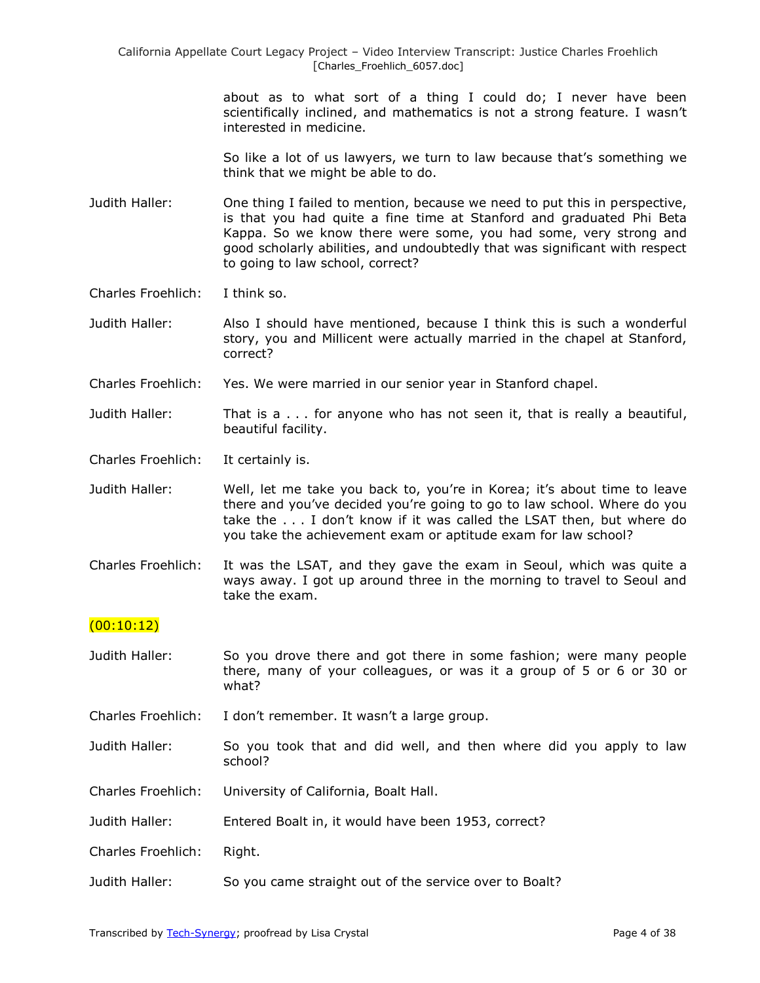> about as to what sort of a thing I could do; I never have been scientifically inclined, and mathematics is not a strong feature. I wasn't interested in medicine.

> So like a lot of us lawyers, we turn to law because that's something we think that we might be able to do.

- Judith Haller: One thing I failed to mention, because we need to put this in perspective, is that you had quite a fine time at Stanford and graduated Phi Beta Kappa. So we know there were some, you had some, very strong and good scholarly abilities, and undoubtedly that was significant with respect to going to law school, correct?
- Charles Froehlich: I think so.
- Judith Haller: Also I should have mentioned, because I think this is such a wonderful story, you and Millicent were actually married in the chapel at Stanford, correct?
- Charles Froehlich: Yes. We were married in our senior year in Stanford chapel.
- Judith Haller: That is a . . . for anyone who has not seen it, that is really a beautiful, beautiful facility.
- Charles Froehlich: It certainly is.
- Judith Haller: Well, let me take you back to, you're in Korea; it's about time to leave there and you've decided you're going to go to law school. Where do you take the . . . I don't know if it was called the LSAT then, but where do you take the achievement exam or aptitude exam for law school?
- Charles Froehlich: It was the LSAT, and they gave the exam in Seoul, which was quite a ways away. I got up around three in the morning to travel to Seoul and take the exam.

## $(00:10:12)$

- Judith Haller: So you drove there and got there in some fashion; were many people there, many of your colleagues, or was it a group of 5 or 6 or 30 or what?
- Charles Froehlich: I don't remember. It wasn't a large group.
- Judith Haller: So you took that and did well, and then where did you apply to law school?
- Charles Froehlich: University of California, Boalt Hall.
- Judith Haller: Entered Boalt in, it would have been 1953, correct?
- Charles Froehlich: Right.
- Judith Haller: So you came straight out of the service over to Boalt?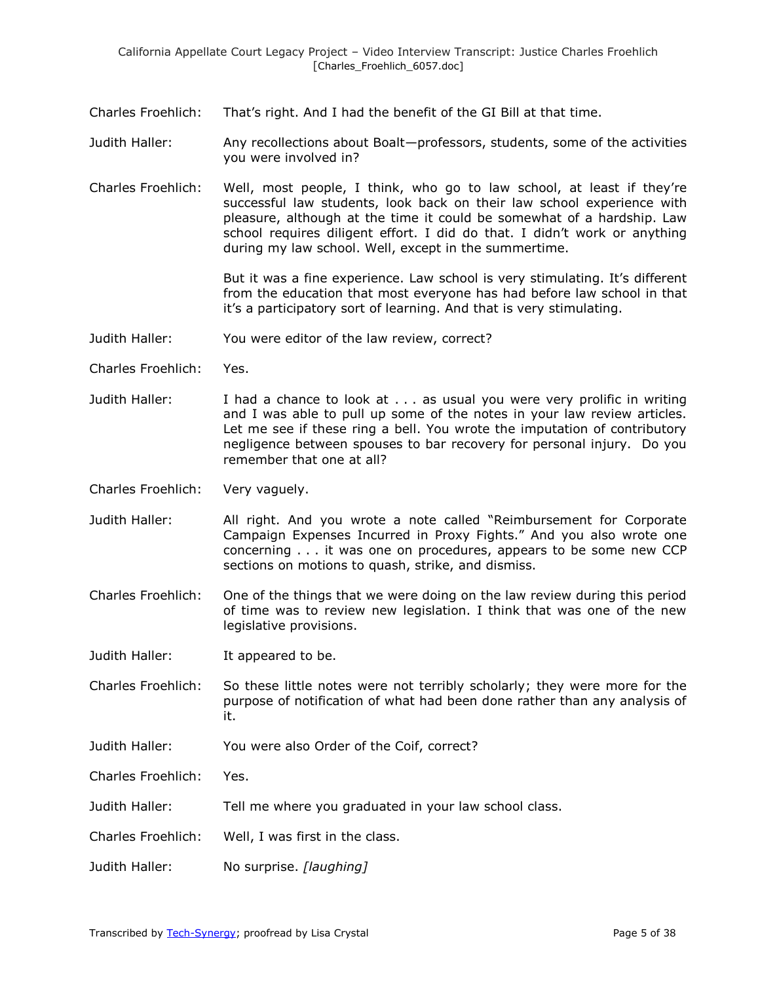Charles Froehlich: That's right. And I had the benefit of the GI Bill at that time.

Judith Haller: Any recollections about Boalt—professors, students, some of the activities you were involved in?

Charles Froehlich: Well, most people, I think, who go to law school, at least if they're successful law students, look back on their law school experience with pleasure, although at the time it could be somewhat of a hardship. Law school requires diligent effort. I did do that. I didn't work or anything during my law school. Well, except in the summertime.

> But it was a fine experience. Law school is very stimulating. It's different from the education that most everyone has had before law school in that it's a participatory sort of learning. And that is very stimulating.

- Judith Haller: You were editor of the law review, correct?
- Charles Froehlich: Yes.
- Judith Haller: I had a chance to look at . . . as usual you were very prolific in writing and I was able to pull up some of the notes in your law review articles. Let me see if these ring a bell. You wrote the imputation of contributory negligence between spouses to bar recovery for personal injury. Do you remember that one at all?
- Charles Froehlich: Very vaguely.
- Judith Haller: All right. And you wrote a note called "Reimbursement for Corporate Campaign Expenses Incurred in Proxy Fights." And you also wrote one concerning . . . it was one on procedures, appears to be some new CCP sections on motions to quash, strike, and dismiss.
- Charles Froehlich: One of the things that we were doing on the law review during this period of time was to review new legislation. I think that was one of the new legislative provisions.
- Judith Haller: It appeared to be.
- Charles Froehlich: So these little notes were not terribly scholarly; they were more for the purpose of notification of what had been done rather than any analysis of it.
- Judith Haller: You were also Order of the Coif, correct?

Charles Froehlich: Yes.

- Judith Haller: Tell me where you graduated in your law school class.
- Charles Froehlich: Well, I was first in the class.
- Judith Haller: No surprise. *[laughing]*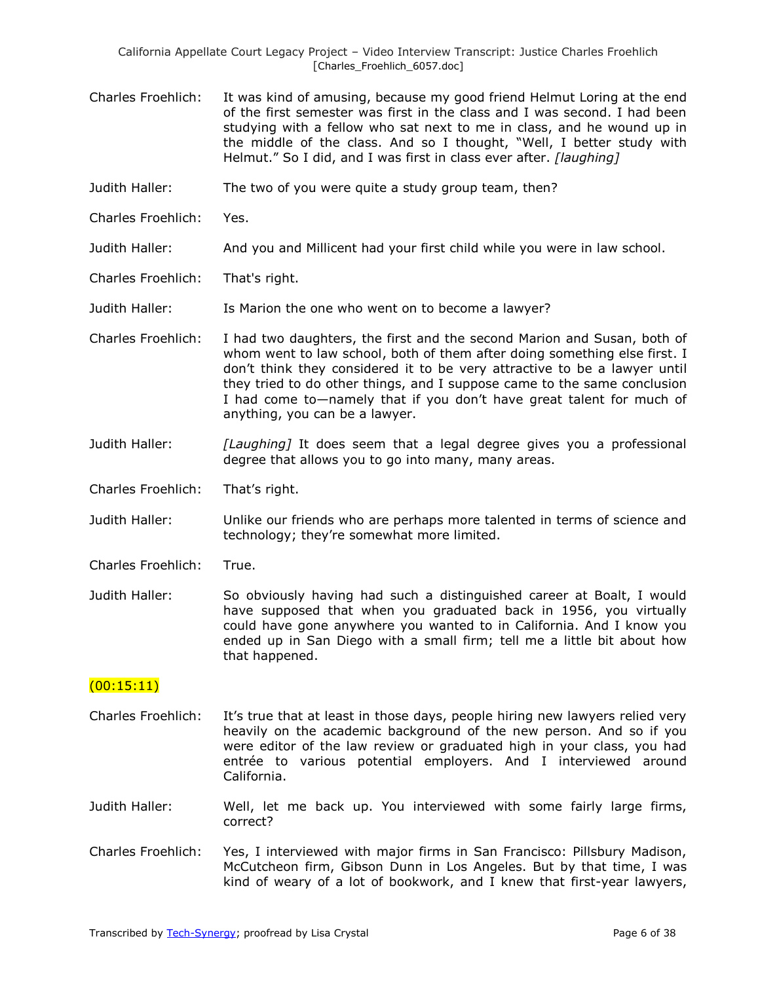- Charles Froehlich: It was kind of amusing, because my good friend Helmut Loring at the end of the first semester was first in the class and I was second. I had been studying with a fellow who sat next to me in class, and he wound up in the middle of the class. And so I thought, "Well, I better study with Helmut.‖ So I did, and I was first in class ever after. *[laughing]*
- Judith Haller: The two of you were quite a study group team, then?
- Charles Froehlich: Yes.
- Judith Haller: And you and Millicent had your first child while you were in law school.
- Charles Froehlich: That's right.
- Judith Haller: Is Marion the one who went on to become a lawyer?
- Charles Froehlich: I had two daughters, the first and the second Marion and Susan, both of whom went to law school, both of them after doing something else first. I don't think they considered it to be very attractive to be a lawyer until they tried to do other things, and I suppose came to the same conclusion I had come to—namely that if you don't have great talent for much of anything, you can be a lawyer.
- Judith Haller: *[Laughing]* It does seem that a legal degree gives you a professional degree that allows you to go into many, many areas.
- Charles Froehlich: That's right.
- Judith Haller: Unlike our friends who are perhaps more talented in terms of science and technology; they're somewhat more limited.
- Charles Froehlich: True.
- Judith Haller: So obviously having had such a distinguished career at Boalt, I would have supposed that when you graduated back in 1956, you virtually could have gone anywhere you wanted to in California. And I know you ended up in San Diego with a small firm; tell me a little bit about how that happened.

#### (00:15:11)

- Charles Froehlich: It's true that at least in those days, people hiring new lawyers relied very heavily on the academic background of the new person. And so if you were editor of the law review or graduated high in your class, you had entrée to various potential employers. And I interviewed around California.
- Judith Haller: Well, let me back up. You interviewed with some fairly large firms, correct?
- Charles Froehlich: Yes, I interviewed with major firms in San Francisco: Pillsbury Madison, McCutcheon firm, Gibson Dunn in Los Angeles. But by that time, I was kind of weary of a lot of bookwork, and I knew that first-year lawyers,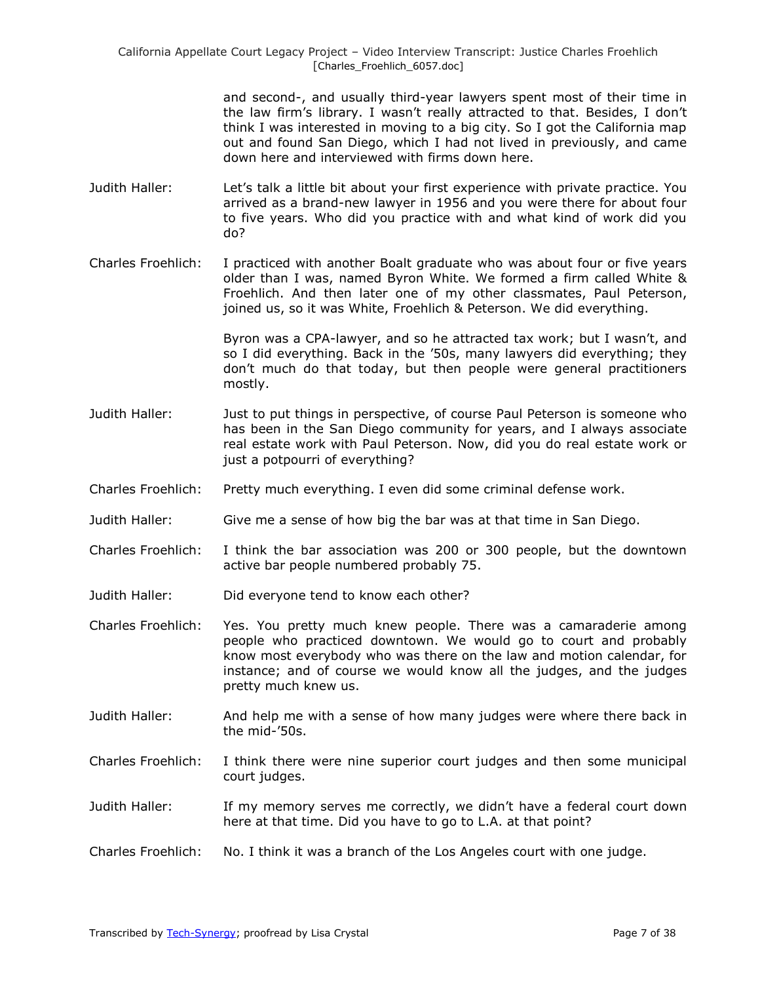> and second-, and usually third-year lawyers spent most of their time in the law firm's library. I wasn't really attracted to that. Besides, I don't think I was interested in moving to a big city. So I got the California map out and found San Diego, which I had not lived in previously, and came down here and interviewed with firms down here.

- Judith Haller: Let's talk a little bit about your first experience with private practice. You arrived as a brand-new lawyer in 1956 and you were there for about four to five years. Who did you practice with and what kind of work did you do?
- Charles Froehlich: I practiced with another Boalt graduate who was about four or five years older than I was, named Byron White. We formed a firm called White & Froehlich. And then later one of my other classmates, Paul Peterson, joined us, so it was White, Froehlich & Peterson. We did everything.

Byron was a CPA-lawyer, and so he attracted tax work; but I wasn't, and so I did everything. Back in the '50s, many lawyers did everything; they don't much do that today, but then people were general practitioners mostly.

- Judith Haller: Just to put things in perspective, of course Paul Peterson is someone who has been in the San Diego community for years, and I always associate real estate work with Paul Peterson. Now, did you do real estate work or just a potpourri of everything?
- Charles Froehlich: Pretty much everything. I even did some criminal defense work.
- Judith Haller: Give me a sense of how big the bar was at that time in San Diego.
- Charles Froehlich: I think the bar association was 200 or 300 people, but the downtown active bar people numbered probably 75.
- Judith Haller: Did everyone tend to know each other?
- Charles Froehlich: Yes. You pretty much knew people. There was a camaraderie among people who practiced downtown. We would go to court and probably know most everybody who was there on the law and motion calendar, for instance; and of course we would know all the judges, and the judges pretty much knew us.
- Judith Haller: And help me with a sense of how many judges were where there back in the mid-'50s.
- Charles Froehlich: I think there were nine superior court judges and then some municipal court judges.
- Judith Haller: If my memory serves me correctly, we didn't have a federal court down here at that time. Did you have to go to L.A. at that point?
- Charles Froehlich: No. I think it was a branch of the Los Angeles court with one judge.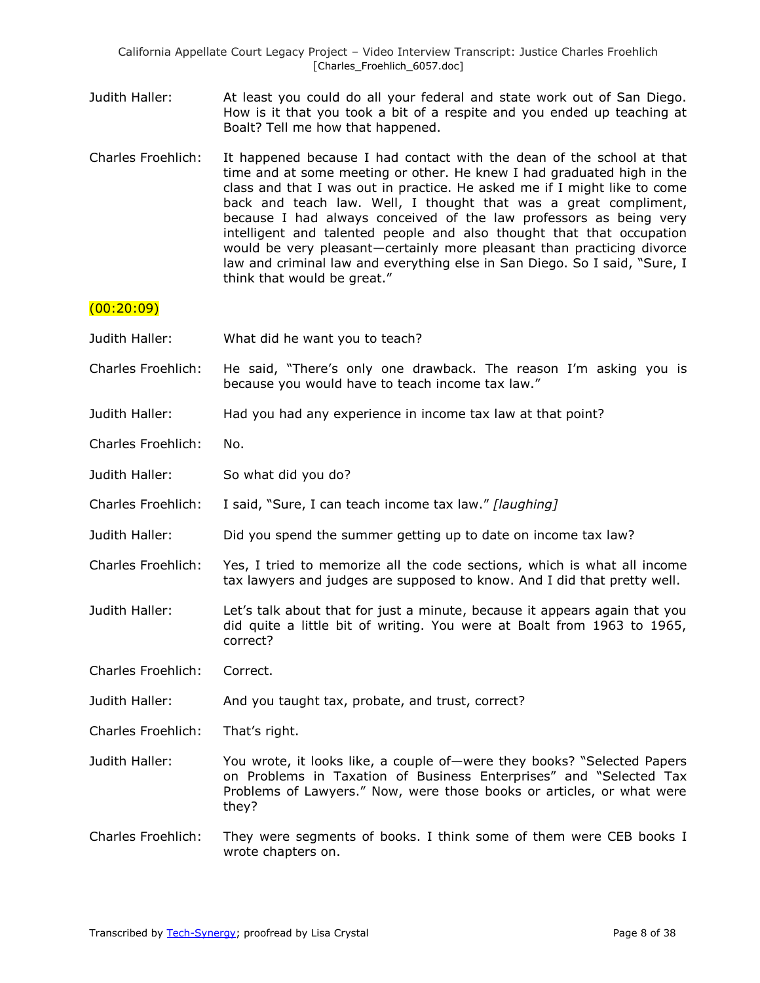- Judith Haller: At least you could do all your federal and state work out of San Diego. How is it that you took a bit of a respite and you ended up teaching at Boalt? Tell me how that happened.
- Charles Froehlich: It happened because I had contact with the dean of the school at that time and at some meeting or other. He knew I had graduated high in the class and that I was out in practice. He asked me if I might like to come back and teach law. Well, I thought that was a great compliment, because I had always conceived of the law professors as being very intelligent and talented people and also thought that that occupation would be very pleasant—certainly more pleasant than practicing divorce law and criminal law and everything else in San Diego. So I said, "Sure, I think that would be great."

## $(00:20:09)$

| Judith Haller:            | What did he want you to teach?                                                                                                                                                                                                  |
|---------------------------|---------------------------------------------------------------------------------------------------------------------------------------------------------------------------------------------------------------------------------|
| <b>Charles Froehlich:</b> | He said, "There's only one drawback. The reason I'm asking you is<br>because you would have to teach income tax law."                                                                                                           |
| Judith Haller:            | Had you had any experience in income tax law at that point?                                                                                                                                                                     |
| <b>Charles Froehlich:</b> | No.                                                                                                                                                                                                                             |
| Judith Haller:            | So what did you do?                                                                                                                                                                                                             |
| <b>Charles Froehlich:</b> | I said, "Sure, I can teach income tax law." [laughing]                                                                                                                                                                          |
| Judith Haller:            | Did you spend the summer getting up to date on income tax law?                                                                                                                                                                  |
| <b>Charles Froehlich:</b> | Yes, I tried to memorize all the code sections, which is what all income<br>tax lawyers and judges are supposed to know. And I did that pretty well.                                                                            |
| Judith Haller:            | Let's talk about that for just a minute, because it appears again that you<br>did quite a little bit of writing. You were at Boalt from 1963 to 1965,<br>correct?                                                               |
| <b>Charles Froehlich:</b> | Correct.                                                                                                                                                                                                                        |
| Judith Haller:            | And you taught tax, probate, and trust, correct?                                                                                                                                                                                |
| Charles Froehlich:        | That's right.                                                                                                                                                                                                                   |
| Judith Haller:            | You wrote, it looks like, a couple of-were they books? "Selected Papers<br>on Problems in Taxation of Business Enterprises" and "Selected Tax<br>Problems of Lawyers." Now, were those books or articles, or what were<br>they? |
| <b>Charles Froehlich:</b> | They were segments of books. I think some of them were CEB books I<br>wrote chapters on.                                                                                                                                        |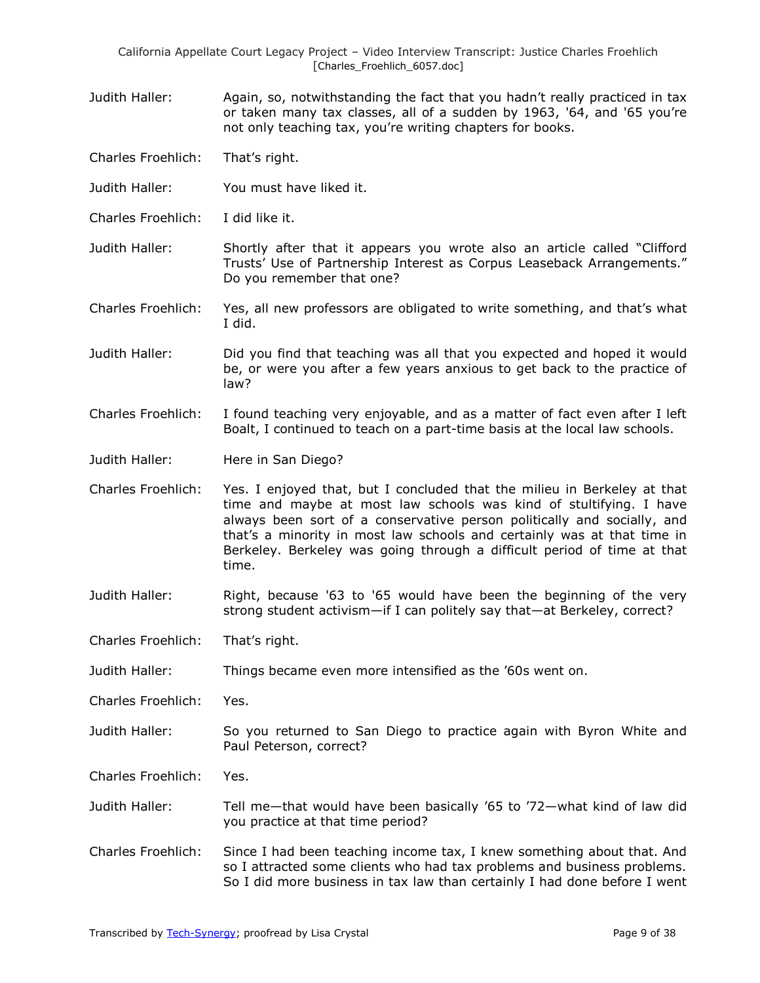- Judith Haller: Again, so, notwithstanding the fact that you hadn't really practiced in tax or taken many tax classes, all of a sudden by 1963, '64, and '65 you're not only teaching tax, you're writing chapters for books.
- Charles Froehlich: That's right.
- Judith Haller: You must have liked it.
- Charles Froehlich: I did like it.
- Judith Haller: Shortly after that it appears you wrote also an article called "Clifford Trusts' Use of Partnership Interest as Corpus Leaseback Arrangements." Do you remember that one?
- Charles Froehlich: Yes, all new professors are obligated to write something, and that's what I did.
- Judith Haller: Did you find that teaching was all that you expected and hoped it would be, or were you after a few years anxious to get back to the practice of law?
- Charles Froehlich: I found teaching very enjoyable, and as a matter of fact even after I left Boalt, I continued to teach on a part-time basis at the local law schools.
- Judith Haller: Here in San Diego?
- Charles Froehlich: Yes. I enjoyed that, but I concluded that the milieu in Berkeley at that time and maybe at most law schools was kind of stultifying. I have always been sort of a conservative person politically and socially, and that's a minority in most law schools and certainly was at that time in Berkeley. Berkeley was going through a difficult period of time at that time.
- Judith Haller: Right, because '63 to '65 would have been the beginning of the very strong student activism—if I can politely say that—at Berkeley, correct?
- Charles Froehlich: That's right.
- Judith Haller: Things became even more intensified as the '60s went on.
- Charles Froehlich: Yes.
- Judith Haller: So you returned to San Diego to practice again with Byron White and Paul Peterson, correct?
- Charles Froehlich: Yes.
- Judith Haller: Tell me—that would have been basically '65 to '72—what kind of law did you practice at that time period?
- Charles Froehlich: Since I had been teaching income tax, I knew something about that. And so I attracted some clients who had tax problems and business problems. So I did more business in tax law than certainly I had done before I went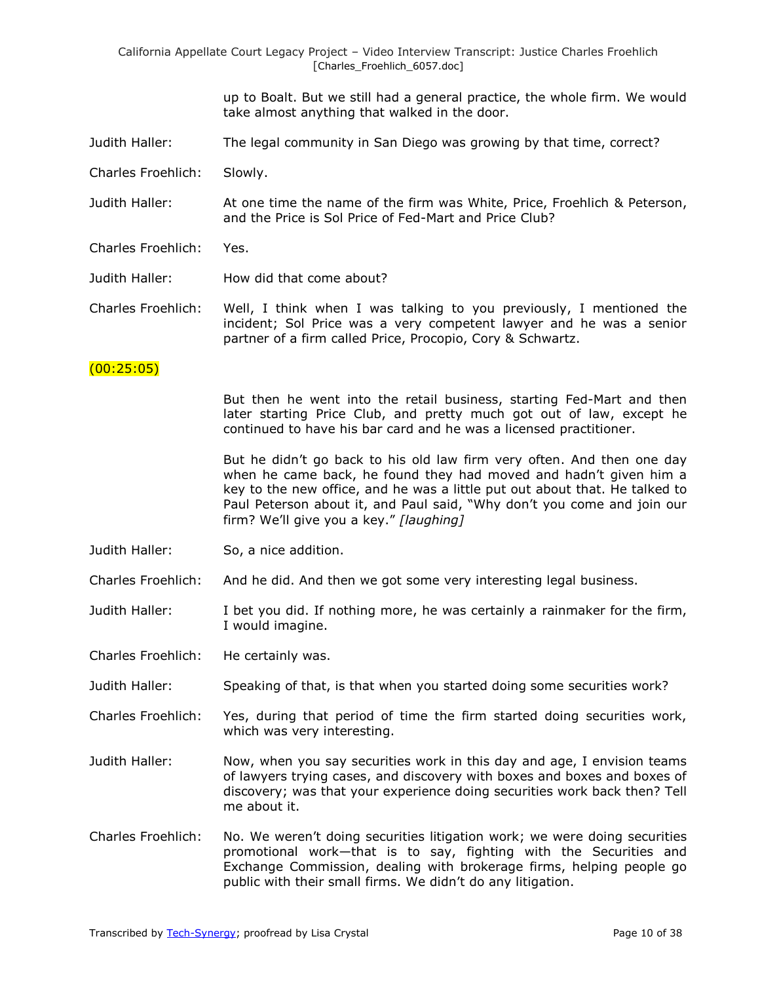> up to Boalt. But we still had a general practice, the whole firm. We would take almost anything that walked in the door.

- Judith Haller: The legal community in San Diego was growing by that time, correct?
- Charles Froehlich: Slowly.

Judith Haller: At one time the name of the firm was White, Price, Froehlich & Peterson, and the Price is Sol Price of Fed-Mart and Price Club?

- Charles Froehlich: Yes.
- Judith Haller: How did that come about?

Charles Froehlich: Well, I think when I was talking to you previously, I mentioned the incident; Sol Price was a very competent lawyer and he was a senior partner of a firm called Price, Procopio, Cory & Schwartz.

#### $(00:25:05)$

But then he went into the retail business, starting Fed-Mart and then later starting Price Club, and pretty much got out of law, except he continued to have his bar card and he was a licensed practitioner.

But he didn't go back to his old law firm very often. And then one day when he came back, he found they had moved and hadn't given him a key to the new office, and he was a little put out about that. He talked to Paul Peterson about it, and Paul said, "Why don't you come and join our firm? We'll give you a key." [laughing]

Judith Haller: So, a nice addition.

Charles Froehlich: And he did. And then we got some very interesting legal business.

Judith Haller: I bet you did. If nothing more, he was certainly a rainmaker for the firm, I would imagine.

Charles Froehlich: He certainly was.

Judith Haller: Speaking of that, is that when you started doing some securities work?

- Charles Froehlich: Yes, during that period of time the firm started doing securities work, which was very interesting.
- Judith Haller: Now, when you say securities work in this day and age, I envision teams of lawyers trying cases, and discovery with boxes and boxes and boxes of discovery; was that your experience doing securities work back then? Tell me about it.
- Charles Froehlich: No. We weren't doing securities litigation work; we were doing securities promotional work—that is to say, fighting with the Securities and Exchange Commission, dealing with brokerage firms, helping people go public with their small firms. We didn't do any litigation.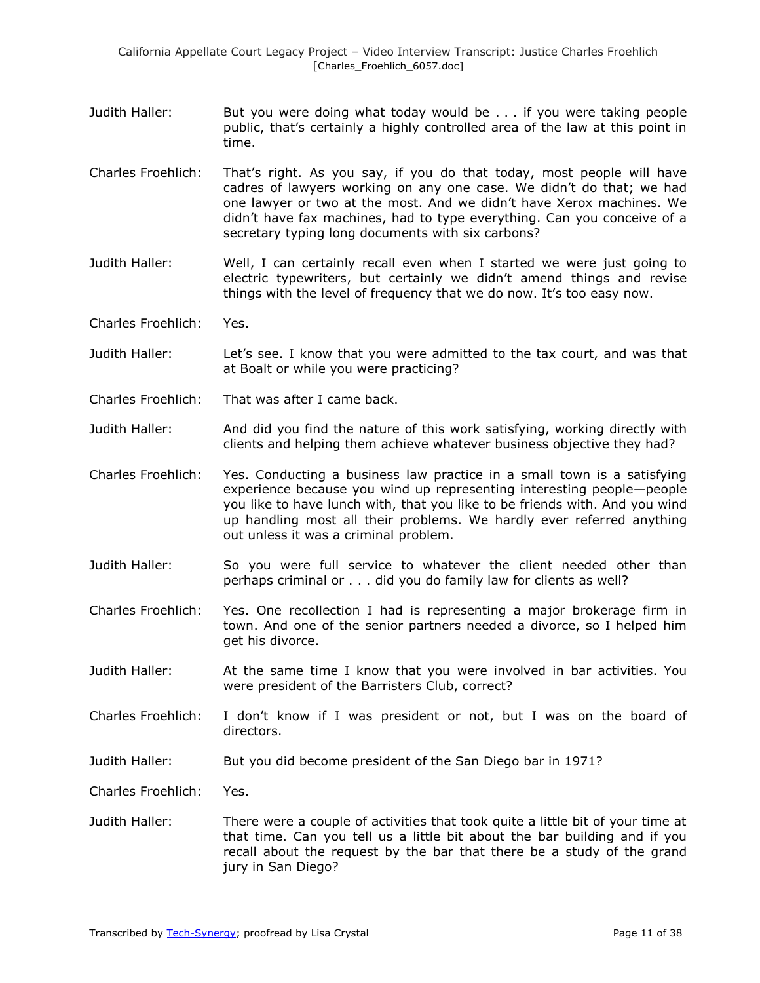- Judith Haller: But you were doing what today would be ... if you were taking people public, that's certainly a highly controlled area of the law at this point in time.
- Charles Froehlich: That's right. As you say, if you do that today, most people will have cadres of lawyers working on any one case. We didn't do that; we had one lawyer or two at the most. And we didn't have Xerox machines. We didn't have fax machines, had to type everything. Can you conceive of a secretary typing long documents with six carbons?
- Judith Haller: Well, I can certainly recall even when I started we were just going to electric typewriters, but certainly we didn't amend things and revise things with the level of frequency that we do now. It's too easy now.
- Charles Froehlich: Yes.
- Judith Haller: Let's see. I know that you were admitted to the tax court, and was that at Boalt or while you were practicing?
- Charles Froehlich: That was after I came back.
- Judith Haller: And did you find the nature of this work satisfying, working directly with clients and helping them achieve whatever business objective they had?
- Charles Froehlich: Yes. Conducting a business law practice in a small town is a satisfying experience because you wind up representing interesting people—people you like to have lunch with, that you like to be friends with. And you wind up handling most all their problems. We hardly ever referred anything out unless it was a criminal problem.
- Judith Haller: So you were full service to whatever the client needed other than perhaps criminal or . . . did you do family law for clients as well?
- Charles Froehlich: Yes. One recollection I had is representing a major brokerage firm in town. And one of the senior partners needed a divorce, so I helped him get his divorce.
- Judith Haller: At the same time I know that you were involved in bar activities. You were president of the Barristers Club, correct?
- Charles Froehlich: I don't know if I was president or not, but I was on the board of directors.
- Judith Haller: But you did become president of the San Diego bar in 1971?
- Charles Froehlich: Yes.
- Judith Haller: There were a couple of activities that took quite a little bit of your time at that time. Can you tell us a little bit about the bar building and if you recall about the request by the bar that there be a study of the grand jury in San Diego?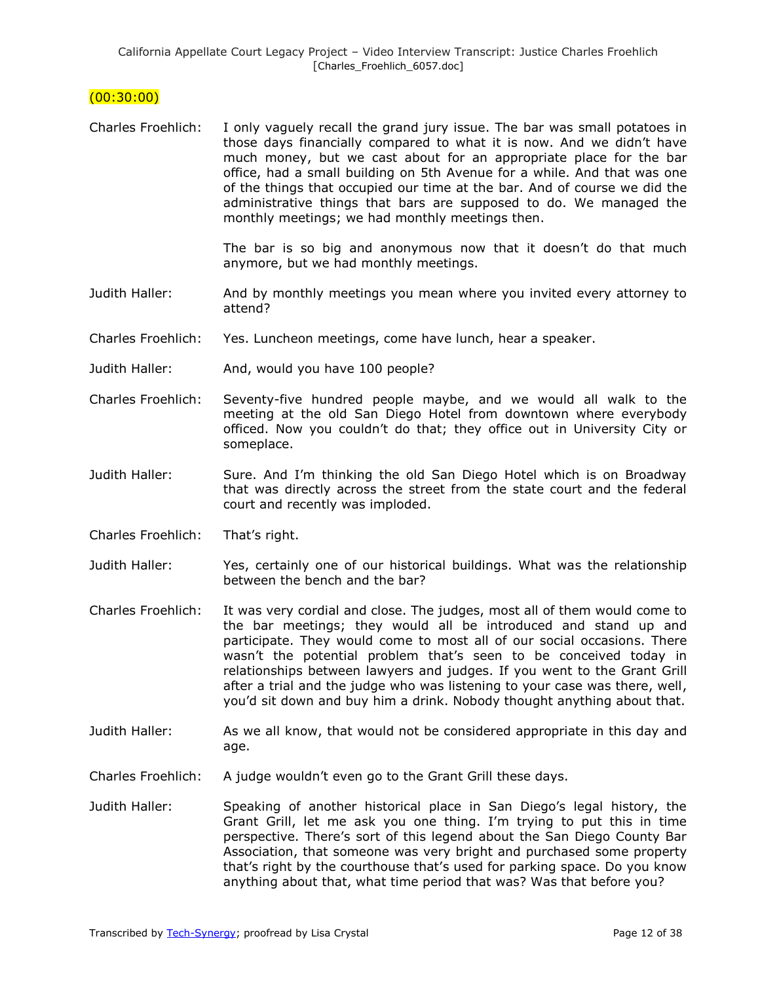## $(00:30:00)$

Charles Froehlich: I only vaguely recall the grand jury issue. The bar was small potatoes in those days financially compared to what it is now. And we didn't have much money, but we cast about for an appropriate place for the bar office, had a small building on 5th Avenue for a while. And that was one of the things that occupied our time at the bar. And of course we did the administrative things that bars are supposed to do. We managed the monthly meetings; we had monthly meetings then.

> The bar is so big and anonymous now that it doesn't do that much anymore, but we had monthly meetings.

- Judith Haller: And by monthly meetings you mean where you invited every attorney to attend?
- Charles Froehlich: Yes. Luncheon meetings, come have lunch, hear a speaker.
- Judith Haller: And, would you have 100 people?
- Charles Froehlich: Seventy-five hundred people maybe, and we would all walk to the meeting at the old San Diego Hotel from downtown where everybody officed. Now you couldn't do that; they office out in University City or someplace.
- Judith Haller: Sure. And I'm thinking the old San Diego Hotel which is on Broadway that was directly across the street from the state court and the federal court and recently was imploded.
- Charles Froehlich: That's right.
- Judith Haller: Yes, certainly one of our historical buildings. What was the relationship between the bench and the bar?
- Charles Froehlich: It was very cordial and close. The judges, most all of them would come to the bar meetings; they would all be introduced and stand up and participate. They would come to most all of our social occasions. There wasn't the potential problem that's seen to be conceived today in relationships between lawyers and judges. If you went to the Grant Grill after a trial and the judge who was listening to your case was there, well, you'd sit down and buy him a drink. Nobody thought anything about that.
- Judith Haller: As we all know, that would not be considered appropriate in this day and age.
- Charles Froehlich: A judge wouldn't even go to the Grant Grill these days.
- Judith Haller: Speaking of another historical place in San Diego's legal history, the Grant Grill, let me ask you one thing. I'm trying to put this in time perspective. There's sort of this legend about the San Diego County Bar Association, that someone was very bright and purchased some property that's right by the courthouse that's used for parking space. Do you know anything about that, what time period that was? Was that before you?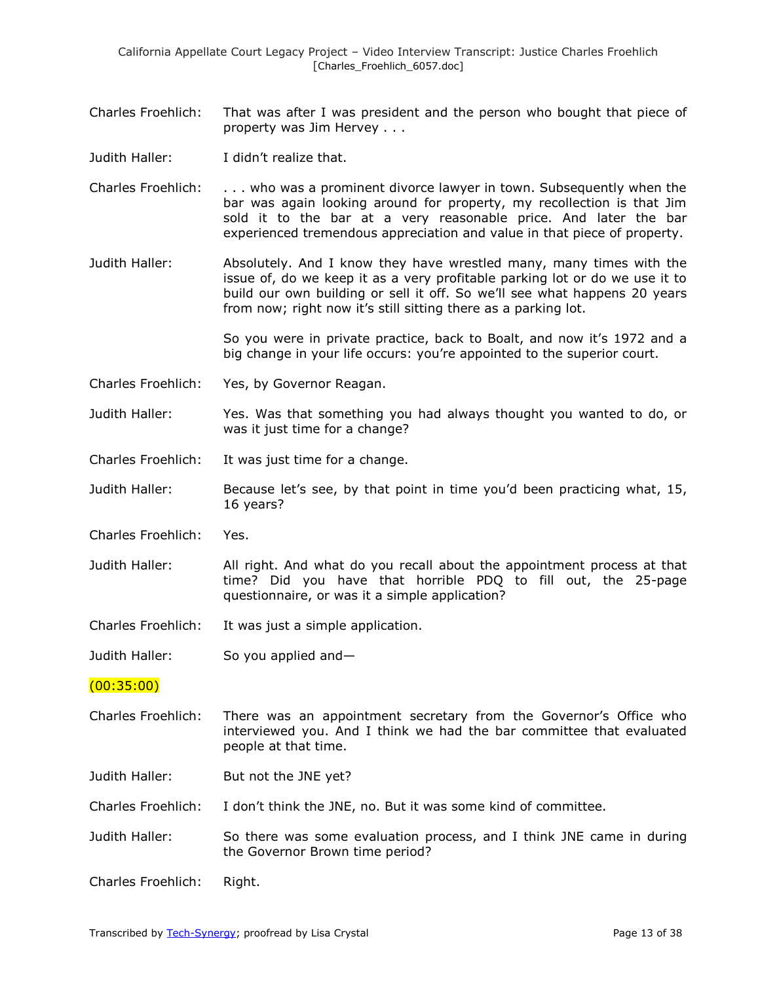- Charles Froehlich: That was after I was president and the person who bought that piece of property was Jim Hervey . . .
- Judith Haller: I didn't realize that.
- Charles Froehlich: . . . who was a prominent divorce lawyer in town. Subsequently when the bar was again looking around for property, my recollection is that Jim sold it to the bar at a very reasonable price. And later the bar experienced tremendous appreciation and value in that piece of property.
- Judith Haller: Absolutely. And I know they have wrestled many, many times with the issue of, do we keep it as a very profitable parking lot or do we use it to build our own building or sell it off. So we'll see what happens 20 years from now; right now it's still sitting there as a parking lot.

So you were in private practice, back to Boalt, and now it's 1972 and a big change in your life occurs: you're appointed to the superior court.

- Charles Froehlich: Yes, by Governor Reagan.
- Judith Haller: Yes. Was that something you had always thought you wanted to do, or was it just time for a change?
- Charles Froehlich: It was just time for a change.
- Judith Haller: Because let's see, by that point in time you'd been practicing what, 15, 16 years?
- Charles Froehlich: Yes.
- Judith Haller: All right. And what do you recall about the appointment process at that time? Did you have that horrible PDQ to fill out, the 25-page questionnaire, or was it a simple application?
- Charles Froehlich: It was just a simple application.
- Judith Haller: So you applied and—

(00:35:00)

- Charles Froehlich: There was an appointment secretary from the Governor's Office who interviewed you. And I think we had the bar committee that evaluated people at that time.
- Judith Haller: But not the JNE yet?
- Charles Froehlich: I don't think the JNE, no. But it was some kind of committee.
- Judith Haller: So there was some evaluation process, and I think JNE came in during the Governor Brown time period?
- Charles Froehlich: Right.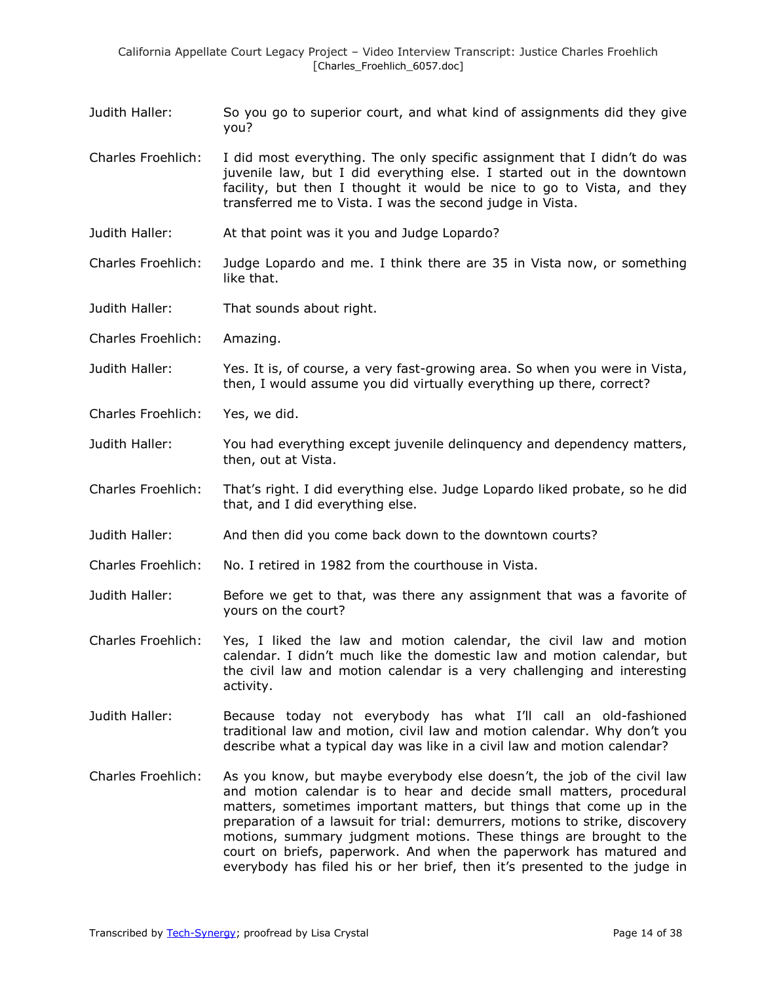Judith Haller: So you go to superior court, and what kind of assignments did they give you?

Charles Froehlich: I did most everything. The only specific assignment that I didn't do was juvenile law, but I did everything else. I started out in the downtown facility, but then I thought it would be nice to go to Vista, and they transferred me to Vista. I was the second judge in Vista.

- Judith Haller: At that point was it you and Judge Lopardo?
- Charles Froehlich: Judge Lopardo and me. I think there are 35 in Vista now, or something like that.
- Judith Haller: That sounds about right.
- Charles Froehlich: Amazing.

Judith Haller: Yes. It is, of course, a very fast-growing area. So when you were in Vista, then, I would assume you did virtually everything up there, correct?

- Charles Froehlich: Yes, we did.
- Judith Haller: You had everything except juvenile delinquency and dependency matters, then, out at Vista.
- Charles Froehlich: That's right. I did everything else. Judge Lopardo liked probate, so he did that, and I did everything else.
- Judith Haller: And then did you come back down to the downtown courts?
- Charles Froehlich: No. I retired in 1982 from the courthouse in Vista.
- Judith Haller: Before we get to that, was there any assignment that was a favorite of yours on the court?
- Charles Froehlich: Yes, I liked the law and motion calendar, the civil law and motion calendar. I didn't much like the domestic law and motion calendar, but the civil law and motion calendar is a very challenging and interesting activity.
- Judith Haller: Because today not everybody has what I'll call an old-fashioned traditional law and motion, civil law and motion calendar. Why don't you describe what a typical day was like in a civil law and motion calendar?
- Charles Froehlich: As you know, but maybe everybody else doesn't, the job of the civil law and motion calendar is to hear and decide small matters, procedural matters, sometimes important matters, but things that come up in the preparation of a lawsuit for trial: demurrers, motions to strike, discovery motions, summary judgment motions. These things are brought to the court on briefs, paperwork. And when the paperwork has matured and everybody has filed his or her brief, then it's presented to the judge in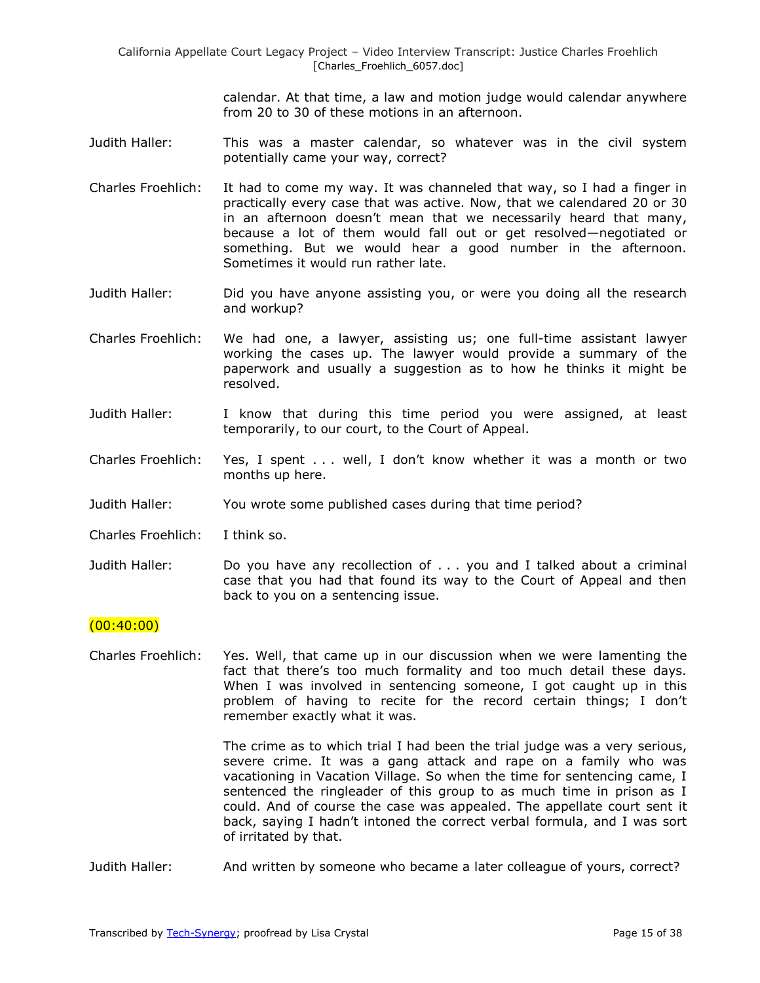> calendar. At that time, a law and motion judge would calendar anywhere from 20 to 30 of these motions in an afternoon.

- Judith Haller: This was a master calendar, so whatever was in the civil system potentially came your way, correct?
- Charles Froehlich: It had to come my way. It was channeled that way, so I had a finger in practically every case that was active. Now, that we calendared 20 or 30 in an afternoon doesn't mean that we necessarily heard that many, because a lot of them would fall out or get resolved—negotiated or something. But we would hear a good number in the afternoon. Sometimes it would run rather late.
- Judith Haller: Did you have anyone assisting you, or were you doing all the research and workup?
- Charles Froehlich: We had one, a lawyer, assisting us; one full-time assistant lawyer working the cases up. The lawyer would provide a summary of the paperwork and usually a suggestion as to how he thinks it might be resolved.
- Judith Haller: I know that during this time period you were assigned, at least temporarily, to our court, to the Court of Appeal.
- Charles Froehlich: Yes, I spent . . . well, I don't know whether it was a month or two months up here.
- Judith Haller: You wrote some published cases during that time period?
- Charles Froehlich: I think so.
- Judith Haller: Do you have any recollection of . . . you and I talked about a criminal case that you had that found its way to the Court of Appeal and then back to you on a sentencing issue.

## $(00:40:00)$

Charles Froehlich: Yes. Well, that came up in our discussion when we were lamenting the fact that there's too much formality and too much detail these days. When I was involved in sentencing someone, I got caught up in this problem of having to recite for the record certain things; I don't remember exactly what it was.

> The crime as to which trial I had been the trial judge was a very serious, severe crime. It was a gang attack and rape on a family who was vacationing in Vacation Village. So when the time for sentencing came, I sentenced the ringleader of this group to as much time in prison as I could. And of course the case was appealed. The appellate court sent it back, saying I hadn't intoned the correct verbal formula, and I was sort of irritated by that.

Judith Haller: And written by someone who became a later colleague of yours, correct?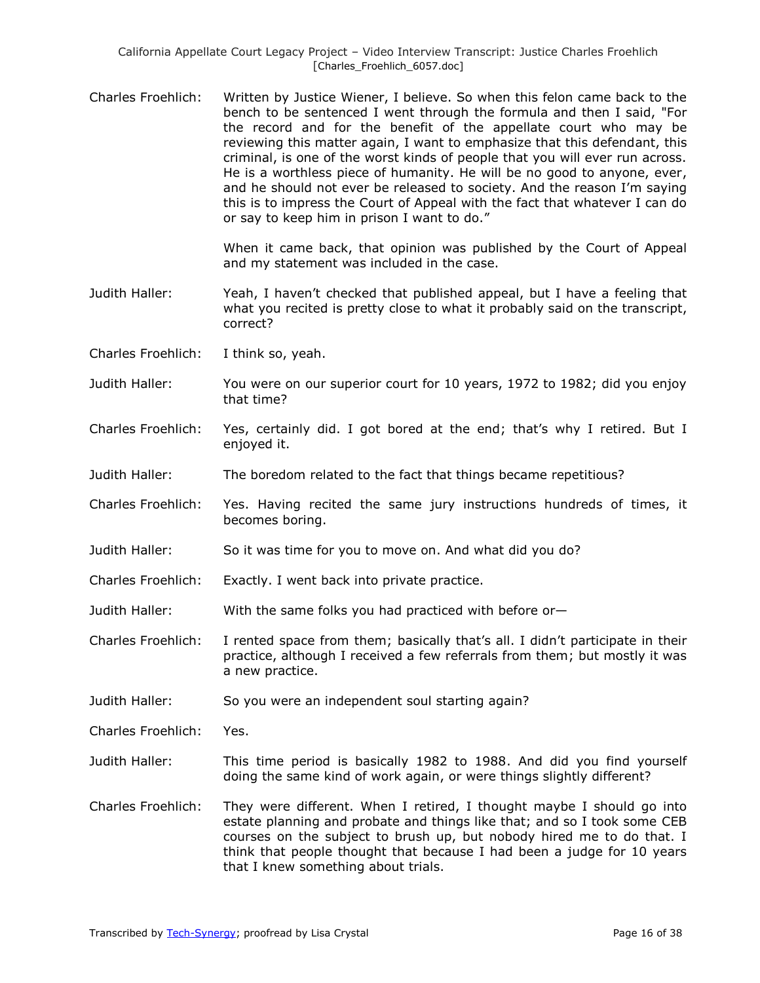Charles Froehlich: Written by Justice Wiener, I believe. So when this felon came back to the bench to be sentenced I went through the formula and then I said, "For the record and for the benefit of the appellate court who may be reviewing this matter again, I want to emphasize that this defendant, this criminal, is one of the worst kinds of people that you will ever run across. He is a worthless piece of humanity. He will be no good to anyone, ever, and he should not ever be released to society. And the reason I'm saying this is to impress the Court of Appeal with the fact that whatever I can do or say to keep him in prison I want to do."

> When it came back, that opinion was published by the Court of Appeal and my statement was included in the case.

- Judith Haller: Yeah, I haven't checked that published appeal, but I have a feeling that what you recited is pretty close to what it probably said on the transcript. correct?
- Charles Froehlich: I think so, yeah.
- Judith Haller: You were on our superior court for 10 years, 1972 to 1982; did you enjoy that time?
- Charles Froehlich: Yes, certainly did. I got bored at the end; that's why I retired. But I enjoyed it.
- Judith Haller: The boredom related to the fact that things became repetitious?
- Charles Froehlich: Yes. Having recited the same jury instructions hundreds of times, it becomes boring.
- Judith Haller: So it was time for you to move on. And what did you do?
- Charles Froehlich: Exactly. I went back into private practice.
- Judith Haller: With the same folks you had practiced with before or—

Charles Froehlich: I rented space from them; basically that's all. I didn't participate in their practice, although I received a few referrals from them; but mostly it was a new practice.

Judith Haller: So you were an independent soul starting again?

Charles Froehlich: Yes.

- Judith Haller: This time period is basically 1982 to 1988. And did you find yourself doing the same kind of work again, or were things slightly different?
- Charles Froehlich: They were different. When I retired, I thought maybe I should go into estate planning and probate and things like that; and so I took some CEB courses on the subject to brush up, but nobody hired me to do that. I think that people thought that because I had been a judge for 10 years that I knew something about trials.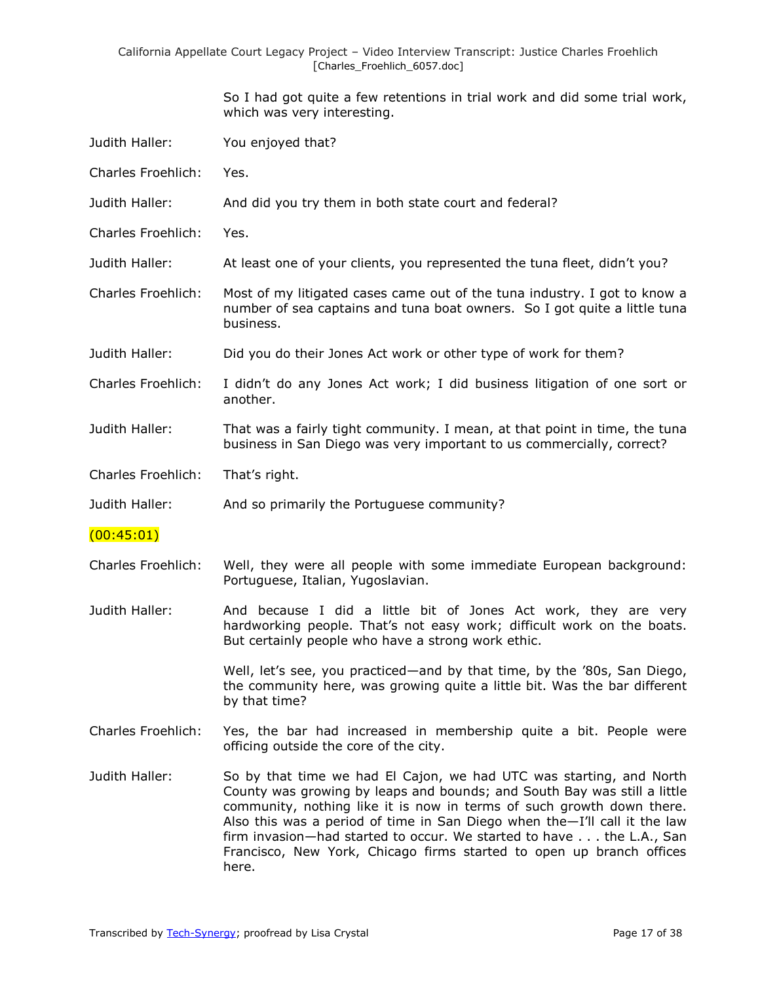> So I had got quite a few retentions in trial work and did some trial work, which was very interesting.

- Judith Haller: You enjoyed that?
- Charles Froehlich: Yes.
- Judith Haller: And did you try them in both state court and federal?
- Charles Froehlich: Yes.
- Judith Haller: At least one of your clients, you represented the tuna fleet, didn't you?
- Charles Froehlich: Most of my litigated cases came out of the tuna industry. I got to know a number of sea captains and tuna boat owners. So I got quite a little tuna business.
- Judith Haller: Did you do their Jones Act work or other type of work for them?
- Charles Froehlich: I didn't do any Jones Act work; I did business litigation of one sort or another.
- Judith Haller: That was a fairly tight community. I mean, at that point in time, the tuna business in San Diego was very important to us commercially, correct?

Charles Froehlich: That's right.

Judith Haller: And so primarily the Portuguese community?

(00:45:01)

- Charles Froehlich: Well, they were all people with some immediate European background: Portuguese, Italian, Yugoslavian.
- Judith Haller: And because I did a little bit of Jones Act work, they are very hardworking people. That's not easy work; difficult work on the boats. But certainly people who have a strong work ethic.

Well, let's see, you practiced—and by that time, by the '80s, San Diego, the community here, was growing quite a little bit. Was the bar different by that time?

- Charles Froehlich: Yes, the bar had increased in membership quite a bit. People were officing outside the core of the city.
- Judith Haller: So by that time we had El Cajon, we had UTC was starting, and North County was growing by leaps and bounds; and South Bay was still a little community, nothing like it is now in terms of such growth down there. Also this was a period of time in San Diego when the—I'll call it the law firm invasion—had started to occur. We started to have . . . the L.A., San Francisco, New York, Chicago firms started to open up branch offices here.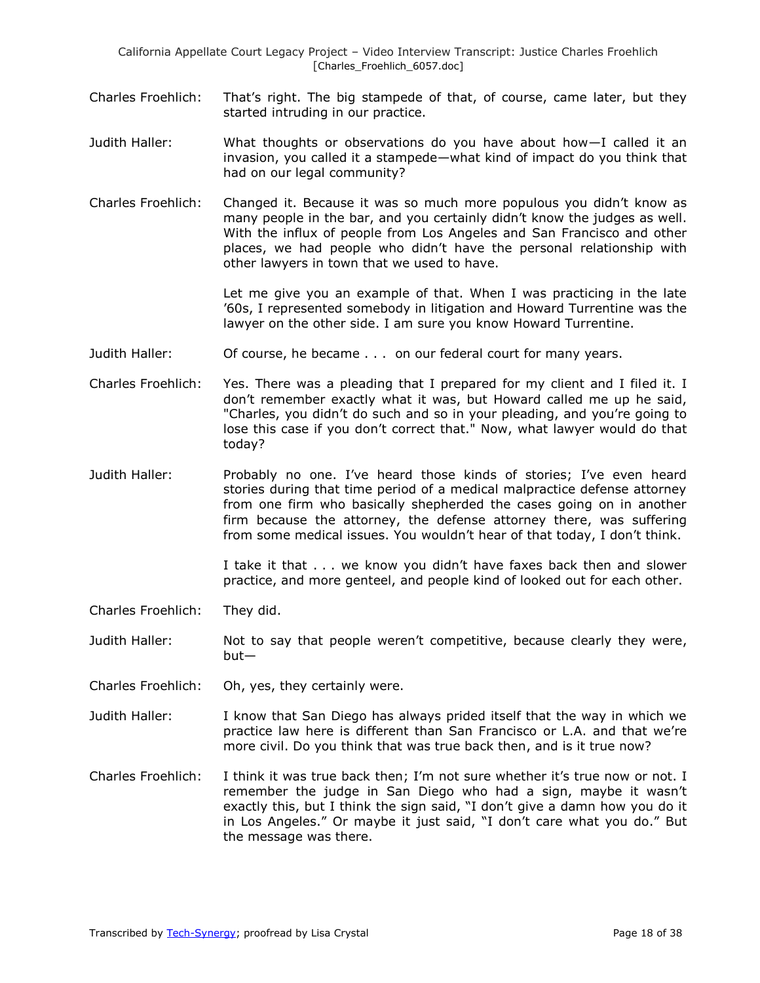- Charles Froehlich: That's right. The big stampede of that, of course, came later, but they started intruding in our practice.
- Judith Haller: What thoughts or observations do you have about how—I called it an invasion, you called it a stampede—what kind of impact do you think that had on our legal community?
- Charles Froehlich: Changed it. Because it was so much more populous you didn't know as many people in the bar, and you certainly didn't know the judges as well. With the influx of people from Los Angeles and San Francisco and other places, we had people who didn't have the personal relationship with other lawyers in town that we used to have.

Let me give you an example of that. When I was practicing in the late '60s, I represented somebody in litigation and Howard Turrentine was the lawyer on the other side. I am sure you know Howard Turrentine.

- Judith Haller: Of course, he became . . . on our federal court for many years.
- Charles Froehlich: Yes. There was a pleading that I prepared for my client and I filed it. I don't remember exactly what it was, but Howard called me up he said, "Charles, you didn't do such and so in your pleading, and you're going to lose this case if you don't correct that." Now, what lawyer would do that today?
- Judith Haller: Probably no one. I've heard those kinds of stories; I've even heard stories during that time period of a medical malpractice defense attorney from one firm who basically shepherded the cases going on in another firm because the attorney, the defense attorney there, was suffering from some medical issues. You wouldn't hear of that today, I don't think.

I take it that . . . we know you didn't have faxes back then and slower practice, and more genteel, and people kind of looked out for each other.

- Charles Froehlich: They did.
- Judith Haller: Not to say that people weren't competitive, because clearly they were, but—
- Charles Froehlich: Oh, yes, they certainly were.
- Judith Haller: I know that San Diego has always prided itself that the way in which we practice law here is different than San Francisco or L.A. and that we're more civil. Do you think that was true back then, and is it true now?
- Charles Froehlich: I think it was true back then; I'm not sure whether it's true now or not. I remember the judge in San Diego who had a sign, maybe it wasn't exactly this, but I think the sign said, "I don't give a damn how you do it in Los Angeles." Or maybe it just said, "I don't care what you do." But the message was there.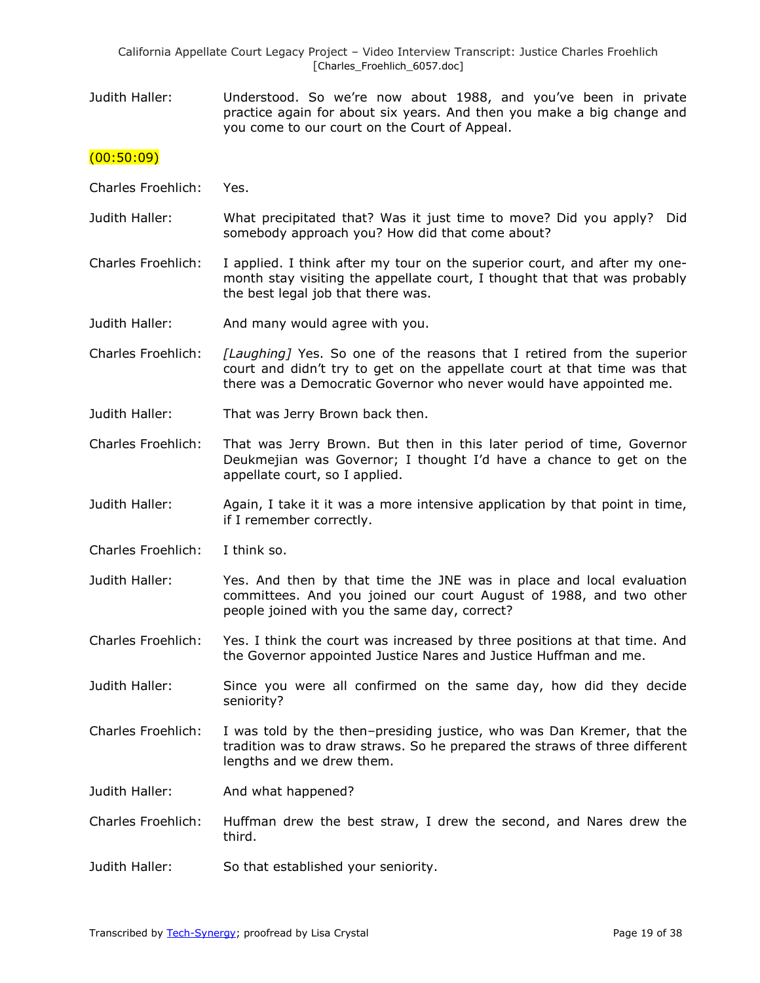Judith Haller: Understood. So we're now about 1988, and you've been in private practice again for about six years. And then you make a big change and you come to our court on the Court of Appeal.

## $(00:50:09)$

- Charles Froehlich: Yes.
- Judith Haller: What precipitated that? Was it just time to move? Did you apply? Did somebody approach you? How did that come about?
- Charles Froehlich: I applied. I think after my tour on the superior court, and after my onemonth stay visiting the appellate court, I thought that that was probably the best legal job that there was.
- Judith Haller: And many would agree with you.
- Charles Froehlich: *[Laughing]* Yes. So one of the reasons that I retired from the superior court and didn't try to get on the appellate court at that time was that there was a Democratic Governor who never would have appointed me.
- Judith Haller: That was Jerry Brown back then.
- Charles Froehlich: That was Jerry Brown. But then in this later period of time, Governor Deukmejian was Governor; I thought I'd have a chance to get on the appellate court, so I applied.
- Judith Haller: Again, I take it it was a more intensive application by that point in time, if I remember correctly.
- Charles Froehlich: I think so.
- Judith Haller: Yes. And then by that time the JNE was in place and local evaluation committees. And you joined our court August of 1988, and two other people joined with you the same day, correct?
- Charles Froehlich: Yes. I think the court was increased by three positions at that time. And the Governor appointed Justice Nares and Justice Huffman and me.
- Judith Haller: Since you were all confirmed on the same day, how did they decide seniority?
- Charles Froehlich: I was told by the then–presiding justice, who was Dan Kremer, that the tradition was to draw straws. So he prepared the straws of three different lengths and we drew them.
- Judith Haller: And what happened?
- Charles Froehlich: Huffman drew the best straw, I drew the second, and Nares drew the third.
- Judith Haller: So that established your seniority.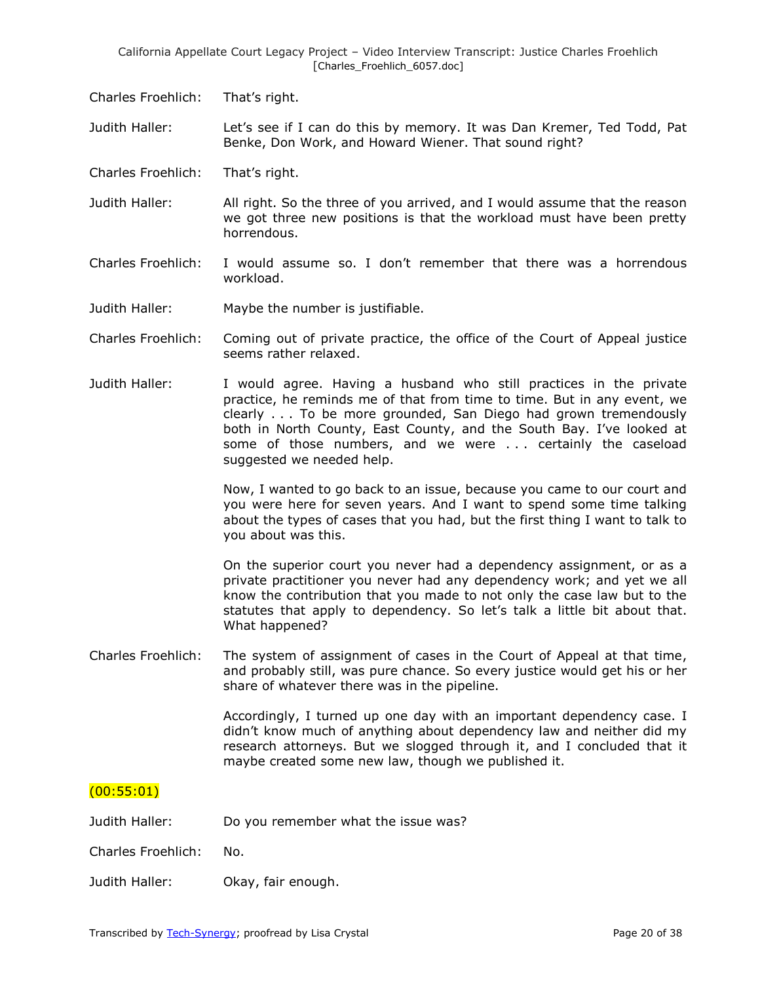Charles Froehlich: That's right.

Judith Haller: Let's see if I can do this by memory. It was Dan Kremer, Ted Todd, Pat Benke, Don Work, and Howard Wiener. That sound right?

- Charles Froehlich: That's right.
- Judith Haller: All right. So the three of you arrived, and I would assume that the reason we got three new positions is that the workload must have been pretty horrendous.
- Charles Froehlich: I would assume so. I don't remember that there was a horrendous workload.
- Judith Haller: Maybe the number is justifiable.
- Charles Froehlich: Coming out of private practice, the office of the Court of Appeal justice seems rather relaxed.
- Judith Haller: I would agree. Having a husband who still practices in the private practice, he reminds me of that from time to time. But in any event, we clearly . . . To be more grounded, San Diego had grown tremendously both in North County, East County, and the South Bay. I've looked at some of those numbers, and we were . . . certainly the caseload suggested we needed help.

Now, I wanted to go back to an issue, because you came to our court and you were here for seven years. And I want to spend some time talking about the types of cases that you had, but the first thing I want to talk to you about was this.

On the superior court you never had a dependency assignment, or as a private practitioner you never had any dependency work; and yet we all know the contribution that you made to not only the case law but to the statutes that apply to dependency. So let's talk a little bit about that. What happened?

Charles Froehlich: The system of assignment of cases in the Court of Appeal at that time, and probably still, was pure chance. So every justice would get his or her share of whatever there was in the pipeline.

> Accordingly, I turned up one day with an important dependency case. I didn't know much of anything about dependency law and neither did my research attorneys. But we slogged through it, and I concluded that it maybe created some new law, though we published it.

# (00:55:01)

Judith Haller: Do you remember what the issue was?

Charles Froehlich: No.

Judith Haller: Okay, fair enough.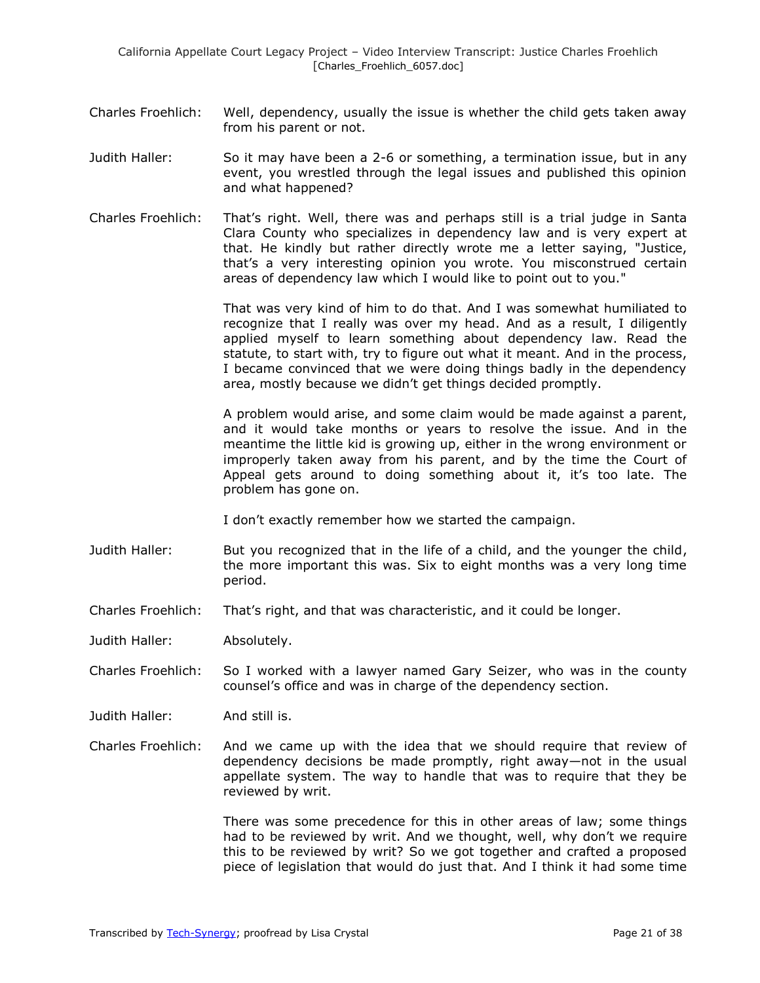- Charles Froehlich: Well, dependency, usually the issue is whether the child gets taken away from his parent or not.
- Judith Haller: So it may have been a 2-6 or something, a termination issue, but in any event, you wrestled through the legal issues and published this opinion and what happened?
- Charles Froehlich: That's right. Well, there was and perhaps still is a trial judge in Santa Clara County who specializes in dependency law and is very expert at that. He kindly but rather directly wrote me a letter saying, "Justice, that's a very interesting opinion you wrote. You misconstrued certain areas of dependency law which I would like to point out to you."

That was very kind of him to do that. And I was somewhat humiliated to recognize that I really was over my head. And as a result, I diligently applied myself to learn something about dependency law. Read the statute, to start with, try to figure out what it meant. And in the process, I became convinced that we were doing things badly in the dependency area, mostly because we didn't get things decided promptly.

A problem would arise, and some claim would be made against a parent, and it would take months or years to resolve the issue. And in the meantime the little kid is growing up, either in the wrong environment or improperly taken away from his parent, and by the time the Court of Appeal gets around to doing something about it, it's too late. The problem has gone on.

I don't exactly remember how we started the campaign.

- Judith Haller: But you recognized that in the life of a child, and the younger the child, the more important this was. Six to eight months was a very long time period.
- Charles Froehlich: That's right, and that was characteristic, and it could be longer.
- Judith Haller: Absolutely.
- Charles Froehlich: So I worked with a lawyer named Gary Seizer, who was in the county counsel's office and was in charge of the dependency section.

Judith Haller: And still is.

Charles Froehlich: And we came up with the idea that we should require that review of dependency decisions be made promptly, right away—not in the usual appellate system. The way to handle that was to require that they be reviewed by writ.

> There was some precedence for this in other areas of law; some things had to be reviewed by writ. And we thought, well, why don't we require this to be reviewed by writ? So we got together and crafted a proposed piece of legislation that would do just that. And I think it had some time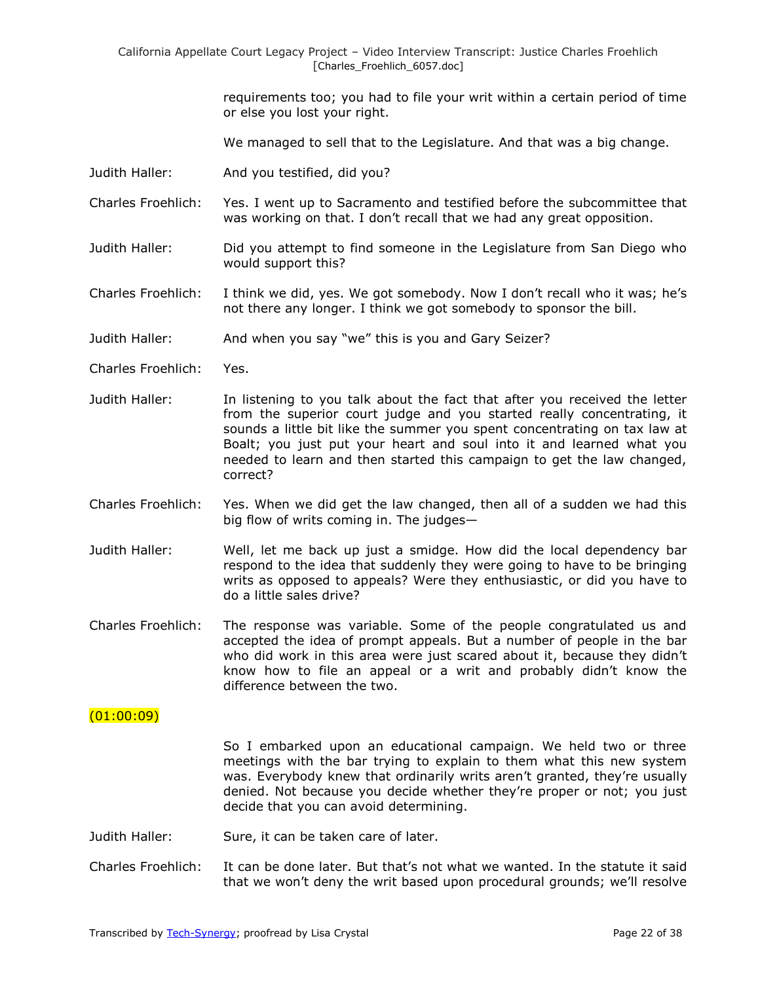> requirements too; you had to file your writ within a certain period of time or else you lost your right.

We managed to sell that to the Legislature. And that was a big change.

Judith Haller: And you testified, did you?

Charles Froehlich: Yes. I went up to Sacramento and testified before the subcommittee that was working on that. I don't recall that we had any great opposition.

Judith Haller: Did you attempt to find someone in the Legislature from San Diego who would support this?

Charles Froehlich: I think we did, yes. We got somebody. Now I don't recall who it was; he's not there any longer. I think we got somebody to sponsor the bill.

Judith Haller: And when you say "we" this is you and Gary Seizer?

Charles Froehlich: Yes.

- Judith Haller: In listening to you talk about the fact that after you received the letter from the superior court judge and you started really concentrating, it sounds a little bit like the summer you spent concentrating on tax law at Boalt; you just put your heart and soul into it and learned what you needed to learn and then started this campaign to get the law changed, correct?
- Charles Froehlich: Yes. When we did get the law changed, then all of a sudden we had this big flow of writs coming in. The judges—
- Judith Haller: Well, let me back up just a smidge. How did the local dependency bar respond to the idea that suddenly they were going to have to be bringing writs as opposed to appeals? Were they enthusiastic, or did you have to do a little sales drive?
- Charles Froehlich: The response was variable. Some of the people congratulated us and accepted the idea of prompt appeals. But a number of people in the bar who did work in this area were just scared about it, because they didn't know how to file an appeal or a writ and probably didn't know the difference between the two.

## $(01:00:09)$

So I embarked upon an educational campaign. We held two or three meetings with the bar trying to explain to them what this new system was. Everybody knew that ordinarily writs aren't granted, they're usually denied. Not because you decide whether they're proper or not; you just decide that you can avoid determining.

- Judith Haller: Sure, it can be taken care of later.
- Charles Froehlich: It can be done later. But that's not what we wanted. In the statute it said that we won't deny the writ based upon procedural grounds; we'll resolve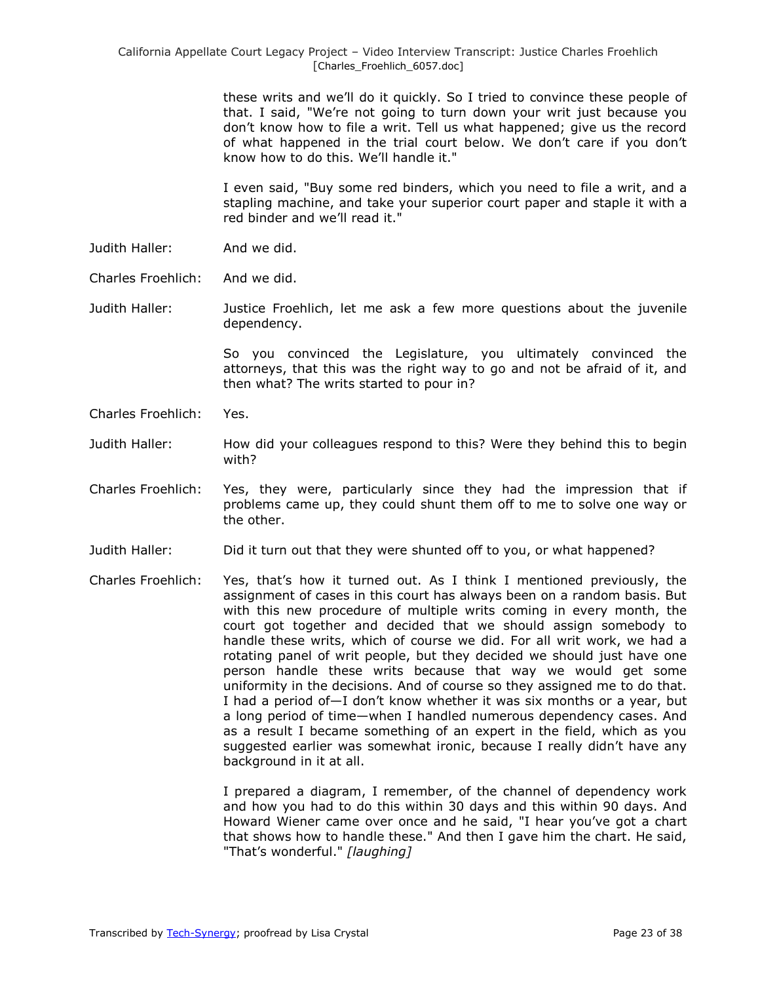> these writs and we'll do it quickly. So I tried to convince these people of that. I said, "We're not going to turn down your writ just because you don't know how to file a writ. Tell us what happened; give us the record of what happened in the trial court below. We don't care if you don't know how to do this. We'll handle it."

> I even said, "Buy some red binders, which you need to file a writ, and a stapling machine, and take your superior court paper and staple it with a red binder and we'll read it."

- Judith Haller: And we did.
- Charles Froehlich: And we did.

Judith Haller: Justice Froehlich, let me ask a few more questions about the juvenile dependency.

> So you convinced the Legislature, you ultimately convinced the attorneys, that this was the right way to go and not be afraid of it, and then what? The writs started to pour in?

- Charles Froehlich: Yes.
- Judith Haller: How did your colleagues respond to this? Were they behind this to begin with?
- Charles Froehlich: Yes, they were, particularly since they had the impression that if problems came up, they could shunt them off to me to solve one way or the other.
- Judith Haller: Did it turn out that they were shunted off to you, or what happened?
- Charles Froehlich: Yes, that's how it turned out. As I think I mentioned previously, the assignment of cases in this court has always been on a random basis. But with this new procedure of multiple writs coming in every month, the court got together and decided that we should assign somebody to handle these writs, which of course we did. For all writ work, we had a rotating panel of writ people, but they decided we should just have one person handle these writs because that way we would get some uniformity in the decisions. And of course so they assigned me to do that. I had a period of—I don't know whether it was six months or a year, but a long period of time—when I handled numerous dependency cases. And as a result I became something of an expert in the field, which as you suggested earlier was somewhat ironic, because I really didn't have any background in it at all.

I prepared a diagram, I remember, of the channel of dependency work and how you had to do this within 30 days and this within 90 days. And Howard Wiener came over once and he said, "I hear you've got a chart that shows how to handle these." And then I gave him the chart. He said, "That's wonderful." *[laughing]*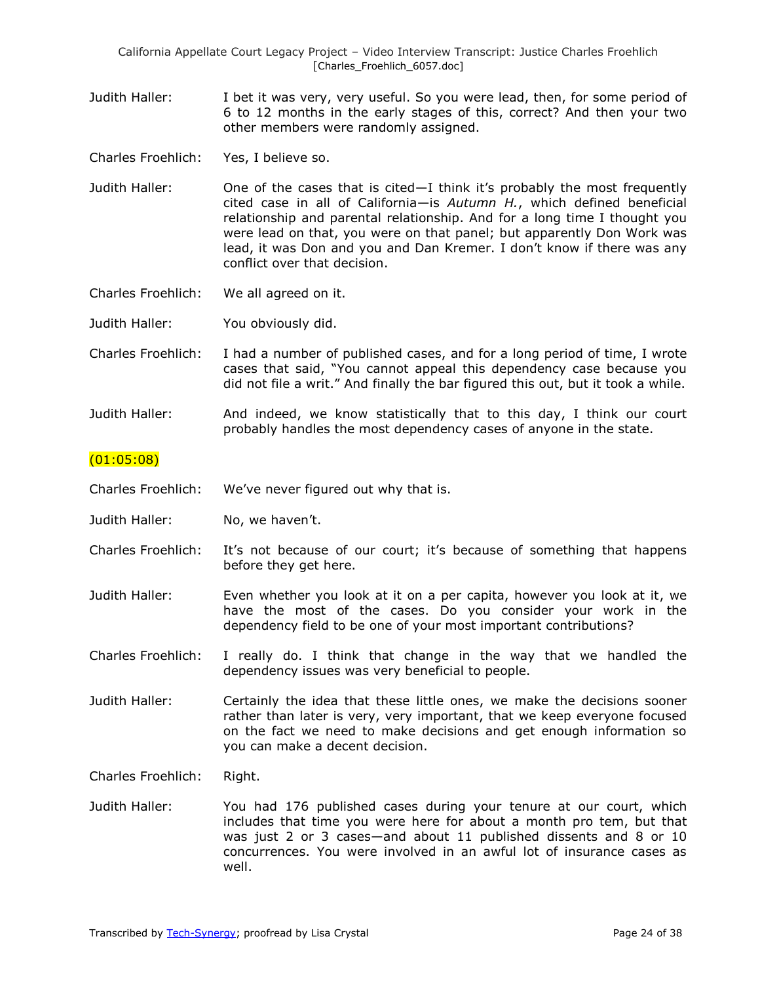Judith Haller: I bet it was very, very useful. So you were lead, then, for some period of 6 to 12 months in the early stages of this, correct? And then your two other members were randomly assigned.

Charles Froehlich: Yes, I believe so.

- Judith Haller: One of the cases that is cited—I think it's probably the most frequently cited case in all of California—is *Autumn H.*, which defined beneficial relationship and parental relationship. And for a long time I thought you were lead on that, you were on that panel; but apparently Don Work was lead, it was Don and you and Dan Kremer. I don't know if there was any conflict over that decision.
- Charles Froehlich: We all agreed on it.

Judith Haller: You obviously did.

- Charles Froehlich: I had a number of published cases, and for a long period of time, I wrote cases that said, "You cannot appeal this dependency case because you did not file a writ." And finally the bar figured this out, but it took a while.
- Judith Haller: And indeed, we know statistically that to this day, I think our court probably handles the most dependency cases of anyone in the state.

#### (01:05:08)

- Charles Froehlich: We've never figured out why that is.
- Judith Haller: No, we haven't.
- Charles Froehlich: It's not because of our court; it's because of something that happens before they get here.
- Judith Haller: Even whether you look at it on a per capita, however you look at it, we have the most of the cases. Do you consider your work in the dependency field to be one of your most important contributions?
- Charles Froehlich: I really do. I think that change in the way that we handled the dependency issues was very beneficial to people.
- Judith Haller: Certainly the idea that these little ones, we make the decisions sooner rather than later is very, very important, that we keep everyone focused on the fact we need to make decisions and get enough information so you can make a decent decision.

Charles Froehlich: Right.

Judith Haller: You had 176 published cases during your tenure at our court, which includes that time you were here for about a month pro tem, but that was just 2 or 3 cases—and about 11 published dissents and 8 or 10 concurrences. You were involved in an awful lot of insurance cases as well.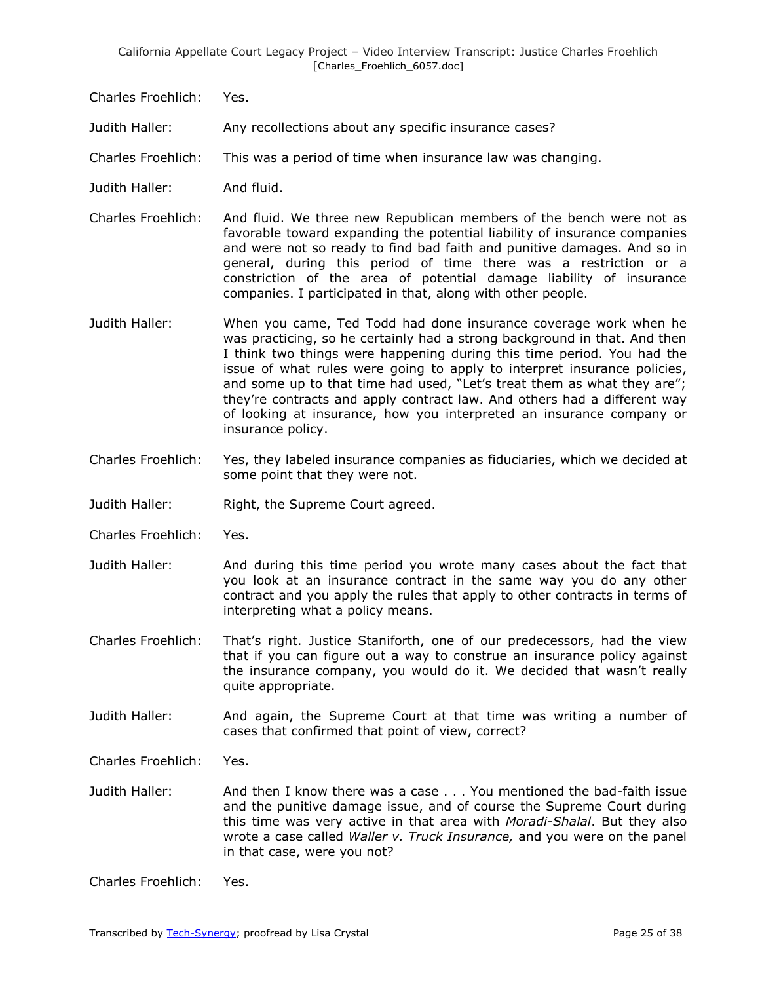Charles Froehlich: Yes.

Judith Haller: Any recollections about any specific insurance cases?

Charles Froehlich: This was a period of time when insurance law was changing.

- Judith Haller: And fluid.
- Charles Froehlich: And fluid. We three new Republican members of the bench were not as favorable toward expanding the potential liability of insurance companies and were not so ready to find bad faith and punitive damages. And so in general, during this period of time there was a restriction or a constriction of the area of potential damage liability of insurance companies. I participated in that, along with other people.
- Judith Haller: When you came, Ted Todd had done insurance coverage work when he was practicing, so he certainly had a strong background in that. And then I think two things were happening during this time period. You had the issue of what rules were going to apply to interpret insurance policies, and some up to that time had used, "Let's treat them as what they are"; they're contracts and apply contract law. And others had a different way of looking at insurance, how you interpreted an insurance company or insurance policy.
- Charles Froehlich: Yes, they labeled insurance companies as fiduciaries, which we decided at some point that they were not.
- Judith Haller: Right, the Supreme Court agreed.
- Charles Froehlich: Yes.
- Judith Haller: And during this time period you wrote many cases about the fact that you look at an insurance contract in the same way you do any other contract and you apply the rules that apply to other contracts in terms of interpreting what a policy means.
- Charles Froehlich: That's right. Justice Staniforth, one of our predecessors, had the view that if you can figure out a way to construe an insurance policy against the insurance company, you would do it. We decided that wasn't really quite appropriate.
- Judith Haller: And again, the Supreme Court at that time was writing a number of cases that confirmed that point of view, correct?

Charles Froehlich: Yes.

Judith Haller: And then I know there was a case . . . You mentioned the bad-faith issue and the punitive damage issue, and of course the Supreme Court during this time was very active in that area with *Moradi-Shalal*. But they also wrote a case called *Waller v. Truck Insurance,* and you were on the panel in that case, were you not?

Charles Froehlich: Yes.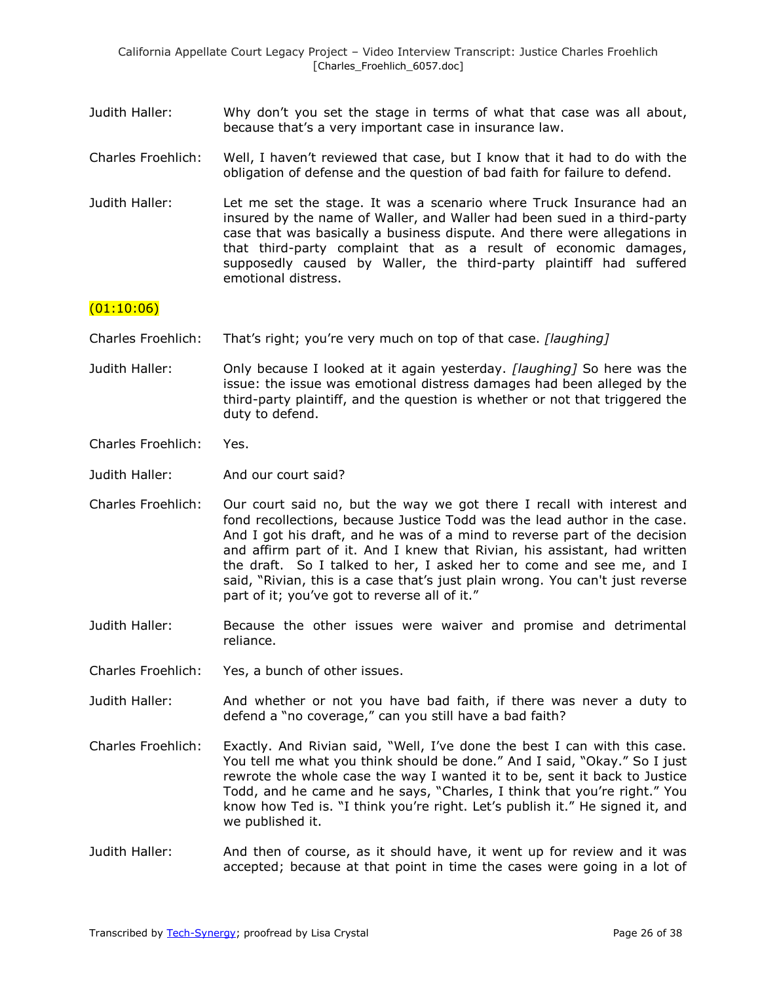- Judith Haller: Why don't you set the stage in terms of what that case was all about, because that's a very important case in insurance law.
- Charles Froehlich: Well, I haven't reviewed that case, but I know that it had to do with the obligation of defense and the question of bad faith for failure to defend.
- Judith Haller: Let me set the stage. It was a scenario where Truck Insurance had an insured by the name of Waller, and Waller had been sued in a third-party case that was basically a business dispute. And there were allegations in that third-party complaint that as a result of economic damages, supposedly caused by Waller, the third-party plaintiff had suffered emotional distress.

## $(01:10:06)$

- Charles Froehlich: That's right; you're very much on top of that case. *[laughing]*
- Judith Haller: Only because I looked at it again yesterday. *[laughing]* So here was the issue: the issue was emotional distress damages had been alleged by the third-party plaintiff, and the question is whether or not that triggered the duty to defend.
- Charles Froehlich: Yes.
- Judith Haller: And our court said?
- Charles Froehlich: Our court said no, but the way we got there I recall with interest and fond recollections, because Justice Todd was the lead author in the case. And I got his draft, and he was of a mind to reverse part of the decision and affirm part of it. And I knew that Rivian, his assistant, had written the draft. So I talked to her, I asked her to come and see me, and I said, "Rivian, this is a case that's just plain wrong. You can't just reverse part of it; you've got to reverse all of it."
- Judith Haller: Because the other issues were waiver and promise and detrimental reliance.
- Charles Froehlich: Yes, a bunch of other issues.
- Judith Haller: And whether or not you have bad faith, if there was never a duty to defend a "no coverage," can you still have a bad faith?
- Charles Froehlich: Exactly. And Rivian said, "Well, I've done the best I can with this case. You tell me what you think should be done." And I said, "Okay." So I just rewrote the whole case the way I wanted it to be, sent it back to Justice Todd, and he came and he says, "Charles, I think that you're right." You know how Ted is. "I think you're right. Let's publish it." He signed it, and we published it.
- Judith Haller: And then of course, as it should have, it went up for review and it was accepted; because at that point in time the cases were going in a lot of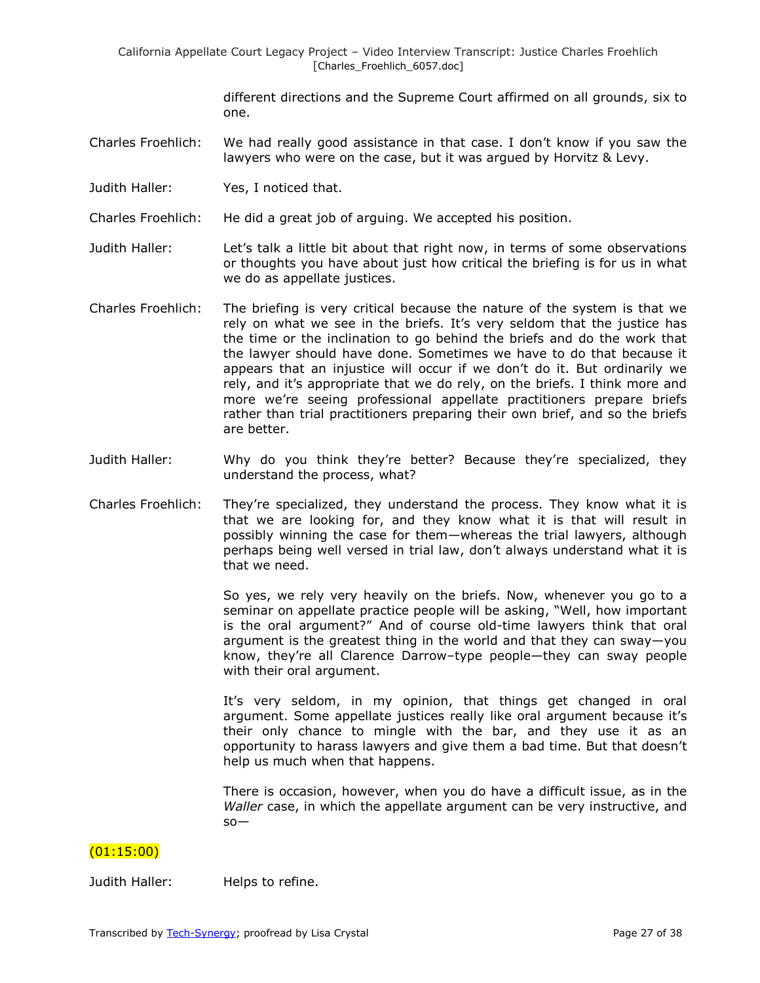different directions and the Supreme Court affirmed on all grounds, six to one.

- Charles Froehlich: We had really good assistance in that case. I don't know if you saw the lawyers who were on the case, but it was argued by Horvitz & Levy.
- Judith Haller: Yes, I noticed that.

Charles Froehlich: He did a great job of arguing. We accepted his position.

- Judith Haller: Let's talk a little bit about that right now, in terms of some observations or thoughts you have about just how critical the briefing is for us in what we do as appellate justices.
- Charles Froehlich: The briefing is very critical because the nature of the system is that we rely on what we see in the briefs. It's very seldom that the justice has the time or the inclination to go behind the briefs and do the work that the lawyer should have done. Sometimes we have to do that because it appears that an injustice will occur if we don't do it. But ordinarily we rely, and it's appropriate that we do rely, on the briefs. I think more and more we're seeing professional appellate practitioners prepare briefs rather than trial practitioners preparing their own brief, and so the briefs are better.
- Judith Haller: Why do you think they're better? Because they're specialized, they understand the process, what?
- Charles Froehlich: They're specialized, they understand the process. They know what it is that we are looking for, and they know what it is that will result in possibly winning the case for them—whereas the trial lawyers, although perhaps being well versed in trial law, don't always understand what it is that we need.

So yes, we rely very heavily on the briefs. Now, whenever you go to a seminar on appellate practice people will be asking, "Well, how important is the oral argument?" And of course old-time lawyers think that oral argument is the greatest thing in the world and that they can sway—you know, they're all Clarence Darrow–type people—they can sway people with their oral argument.

It's very seldom, in my opinion, that things get changed in oral argument. Some appellate justices really like oral argument because it's their only chance to mingle with the bar, and they use it as an opportunity to harass lawyers and give them a bad time. But that doesn't help us much when that happens.

There is occasion, however, when you do have a difficult issue, as in the *Waller* case, in which the appellate argument can be very instructive, and so—

## (01:15:00)

Judith Haller: Helps to refine.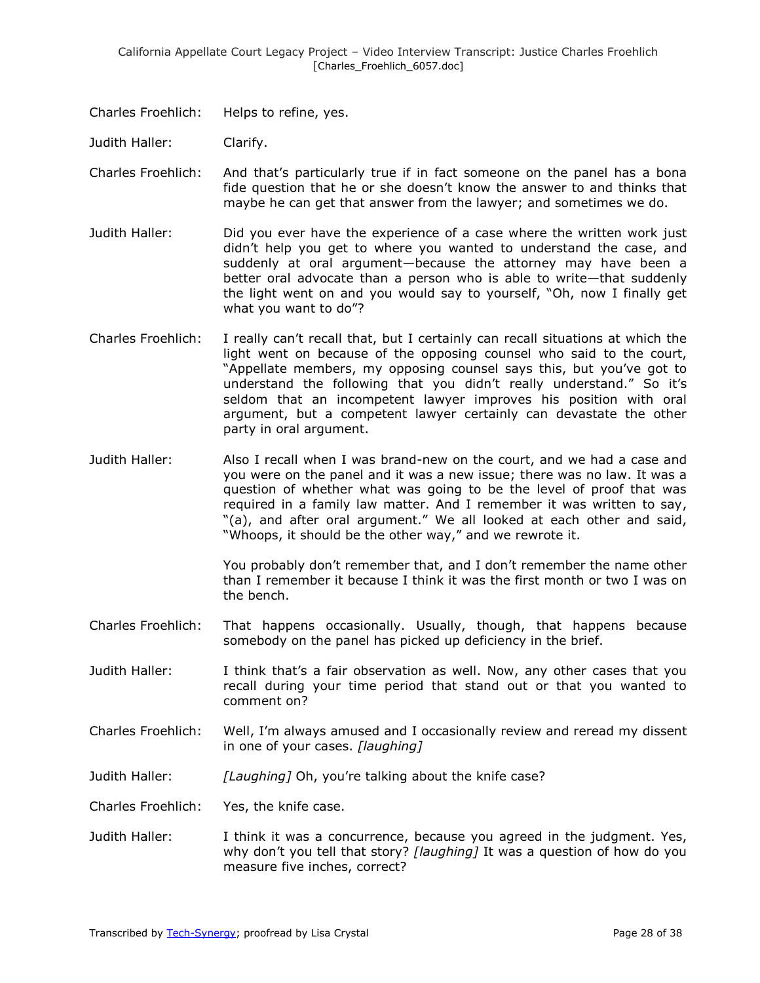Charles Froehlich: Helps to refine, yes.

Judith Haller: Clarify.

- Charles Froehlich: And that's particularly true if in fact someone on the panel has a bona fide question that he or she doesn't know the answer to and thinks that maybe he can get that answer from the lawyer; and sometimes we do.
- Judith Haller: Did you ever have the experience of a case where the written work just didn't help you get to where you wanted to understand the case, and suddenly at oral argument—because the attorney may have been a better oral advocate than a person who is able to write—that suddenly the light went on and you would say to yourself, "Oh, now I finally get what you want to do"?
- Charles Froehlich: I really can't recall that, but I certainly can recall situations at which the light went on because of the opposing counsel who said to the court, "Appellate members, my opposing counsel says this, but you've got to understand the following that you didn't really understand." So it's seldom that an incompetent lawyer improves his position with oral argument, but a competent lawyer certainly can devastate the other party in oral argument.
- Judith Haller: Also I recall when I was brand-new on the court, and we had a case and you were on the panel and it was a new issue; there was no law. It was a question of whether what was going to be the level of proof that was required in a family law matter. And I remember it was written to say, "(a), and after oral argument." We all looked at each other and said, "Whoops, it should be the other way," and we rewrote it.

You probably don't remember that, and I don't remember the name other than I remember it because I think it was the first month or two I was on the bench.

- Charles Froehlich: That happens occasionally. Usually, though, that happens because somebody on the panel has picked up deficiency in the brief.
- Judith Haller: I think that's a fair observation as well. Now, any other cases that you recall during your time period that stand out or that you wanted to comment on?
- Charles Froehlich: Well, I'm always amused and I occasionally review and reread my dissent in one of your cases. *[laughing]*
- Judith Haller: *[Laughing]* Oh, you're talking about the knife case?

Charles Froehlich: Yes, the knife case.

Judith Haller: I think it was a concurrence, because you agreed in the judgment. Yes, why don't you tell that story? *[laughing]* It was a question of how do you measure five inches, correct?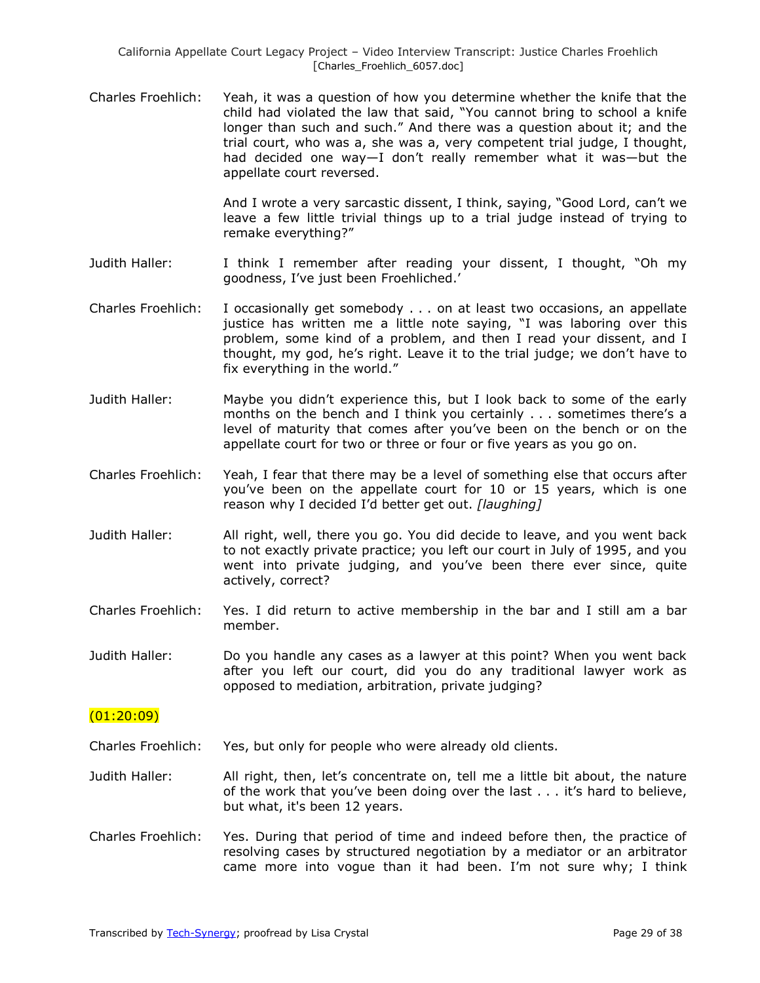Charles Froehlich: Yeah, it was a question of how you determine whether the knife that the child had violated the law that said, "You cannot bring to school a knife longer than such and such." And there was a question about it; and the trial court, who was a, she was a, very competent trial judge, I thought, had decided one way—I don't really remember what it was—but the appellate court reversed.

> And I wrote a very sarcastic dissent, I think, saying, "Good Lord, can't we leave a few little trivial things up to a trial judge instead of trying to remake everything?"

- Judith Haller: I think I remember after reading your dissent, I thought, "Oh my goodness, I've just been Froehliched.'
- Charles Froehlich: I occasionally get somebody . . . on at least two occasions, an appellate justice has written me a little note saying, "I was laboring over this problem, some kind of a problem, and then I read your dissent, and I thought, my god, he's right. Leave it to the trial judge; we don't have to fix everything in the world."
- Judith Haller: Maybe you didn't experience this, but I look back to some of the early months on the bench and I think you certainly . . . sometimes there's a level of maturity that comes after you've been on the bench or on the appellate court for two or three or four or five years as you go on.
- Charles Froehlich: Yeah, I fear that there may be a level of something else that occurs after you've been on the appellate court for 10 or 15 years, which is one reason why I decided I'd better get out. *[laughing]*
- Judith Haller: All right, well, there you go. You did decide to leave, and you went back to not exactly private practice; you left our court in July of 1995, and you went into private judging, and you've been there ever since, quite actively, correct?
- Charles Froehlich: Yes. I did return to active membership in the bar and I still am a bar member.
- Judith Haller: Do you handle any cases as a lawyer at this point? When you went back after you left our court, did you do any traditional lawyer work as opposed to mediation, arbitration, private judging?

#### (01:20:09)

- Charles Froehlich: Yes, but only for people who were already old clients.
- Judith Haller: All right, then, let's concentrate on, tell me a little bit about, the nature of the work that you've been doing over the last . . . it's hard to believe, but what, it's been 12 years.
- Charles Froehlich: Yes. During that period of time and indeed before then, the practice of resolving cases by structured negotiation by a mediator or an arbitrator came more into vogue than it had been. I'm not sure why; I think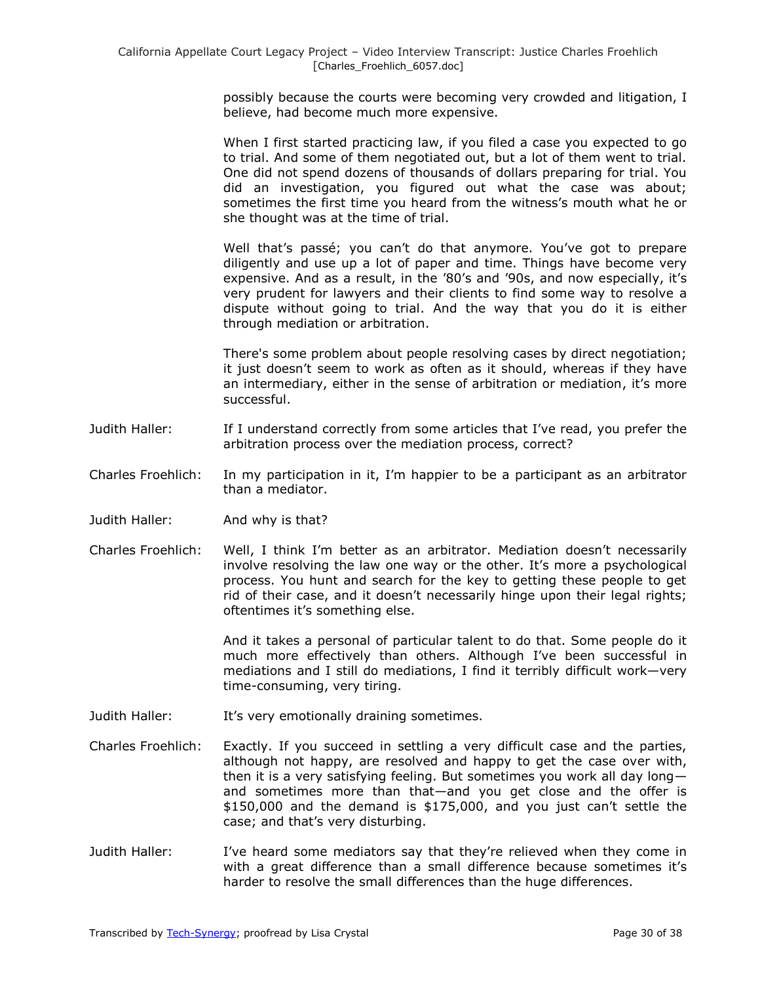possibly because the courts were becoming very crowded and litigation, I believe, had become much more expensive.

When I first started practicing law, if you filed a case you expected to go to trial. And some of them negotiated out, but a lot of them went to trial. One did not spend dozens of thousands of dollars preparing for trial. You did an investigation, you figured out what the case was about; sometimes the first time you heard from the witness's mouth what he or she thought was at the time of trial.

Well that's passé; you can't do that anymore. You've got to prepare diligently and use up a lot of paper and time. Things have become very expensive. And as a result, in the '80's and '90s, and now especially, it's very prudent for lawyers and their clients to find some way to resolve a dispute without going to trial. And the way that you do it is either through mediation or arbitration.

There's some problem about people resolving cases by direct negotiation; it just doesn't seem to work as often as it should, whereas if they have an intermediary, either in the sense of arbitration or mediation, it's more successful.

- Judith Haller: If I understand correctly from some articles that I've read, you prefer the arbitration process over the mediation process, correct?
- Charles Froehlich: In my participation in it, I'm happier to be a participant as an arbitrator than a mediator.
- Judith Haller: And why is that?
- Charles Froehlich: Well, I think I'm better as an arbitrator. Mediation doesn't necessarily involve resolving the law one way or the other. It's more a psychological process. You hunt and search for the key to getting these people to get rid of their case, and it doesn't necessarily hinge upon their legal rights; oftentimes it's something else.

And it takes a personal of particular talent to do that. Some people do it much more effectively than others. Although I've been successful in mediations and I still do mediations, I find it terribly difficult work—very time-consuming, very tiring.

- Judith Haller: It's very emotionally draining sometimes.
- Charles Froehlich: Exactly. If you succeed in settling a very difficult case and the parties, although not happy, are resolved and happy to get the case over with, then it is a very satisfying feeling. But sometimes you work all day long and sometimes more than that—and you get close and the offer is \$150,000 and the demand is \$175,000, and you just can't settle the case; and that's very disturbing.
- Judith Haller: I've heard some mediators say that they're relieved when they come in with a great difference than a small difference because sometimes it's harder to resolve the small differences than the huge differences.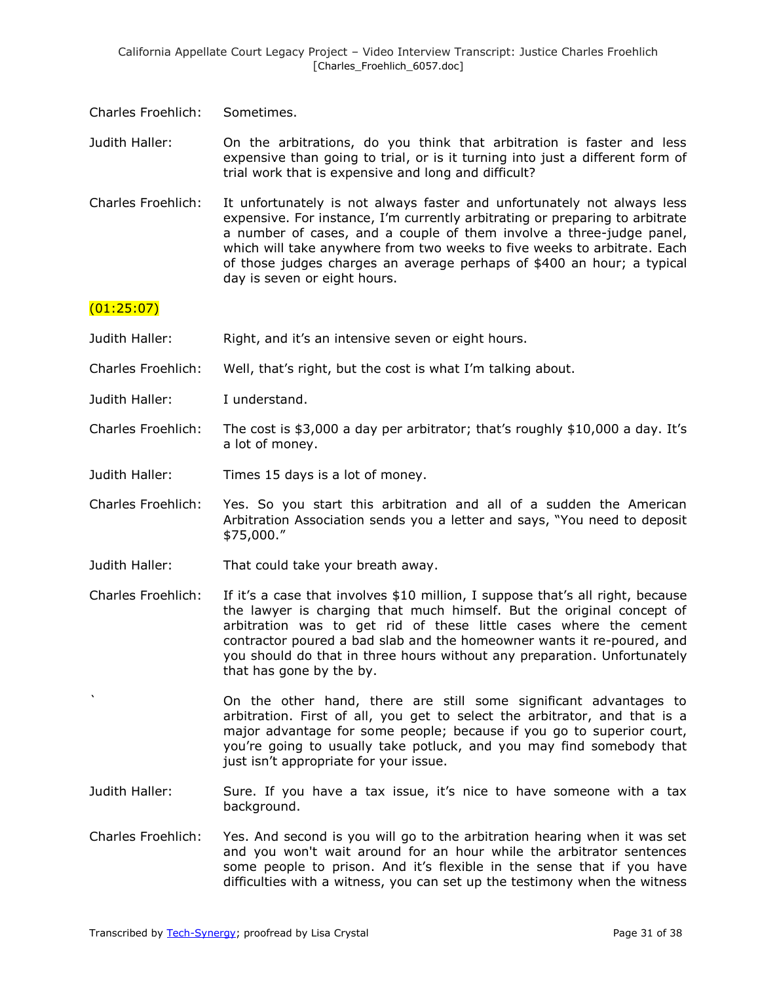- Charles Froehlich: Sometimes.
- Judith Haller: On the arbitrations, do you think that arbitration is faster and less expensive than going to trial, or is it turning into just a different form of trial work that is expensive and long and difficult?
- Charles Froehlich: It unfortunately is not always faster and unfortunately not always less expensive. For instance, I'm currently arbitrating or preparing to arbitrate a number of cases, and a couple of them involve a three-judge panel, which will take anywhere from two weeks to five weeks to arbitrate. Each of those judges charges an average perhaps of \$400 an hour; a typical day is seven or eight hours.

## (01:25:07)

- Judith Haller: Right, and it's an intensive seven or eight hours.
- Charles Froehlich: Well, that's right, but the cost is what I'm talking about.
- Judith Haller: I understand.
- Charles Froehlich: The cost is \$3,000 a day per arbitrator; that's roughly \$10,000 a day. It's a lot of money.
- Judith Haller: Times 15 days is a lot of money.
- Charles Froehlich: Yes. So you start this arbitration and all of a sudden the American Arbitration Association sends you a letter and says, "You need to deposit \$75,000.‖
- Judith Haller: That could take your breath away.
- Charles Froehlich: If it's a case that involves \$10 million, I suppose that's all right, because the lawyer is charging that much himself. But the original concept of arbitration was to get rid of these little cases where the cement contractor poured a bad slab and the homeowner wants it re-poured, and you should do that in three hours without any preparation. Unfortunately that has gone by the by.

On the other hand, there are still some significant advantages to arbitration. First of all, you get to select the arbitrator, and that is a major advantage for some people; because if you go to superior court, you're going to usually take potluck, and you may find somebody that just isn't appropriate for your issue.

- Judith Haller: Sure. If you have a tax issue, it's nice to have someone with a tax background.
- Charles Froehlich: Yes. And second is you will go to the arbitration hearing when it was set and you won't wait around for an hour while the arbitrator sentences some people to prison. And it's flexible in the sense that if you have difficulties with a witness, you can set up the testimony when the witness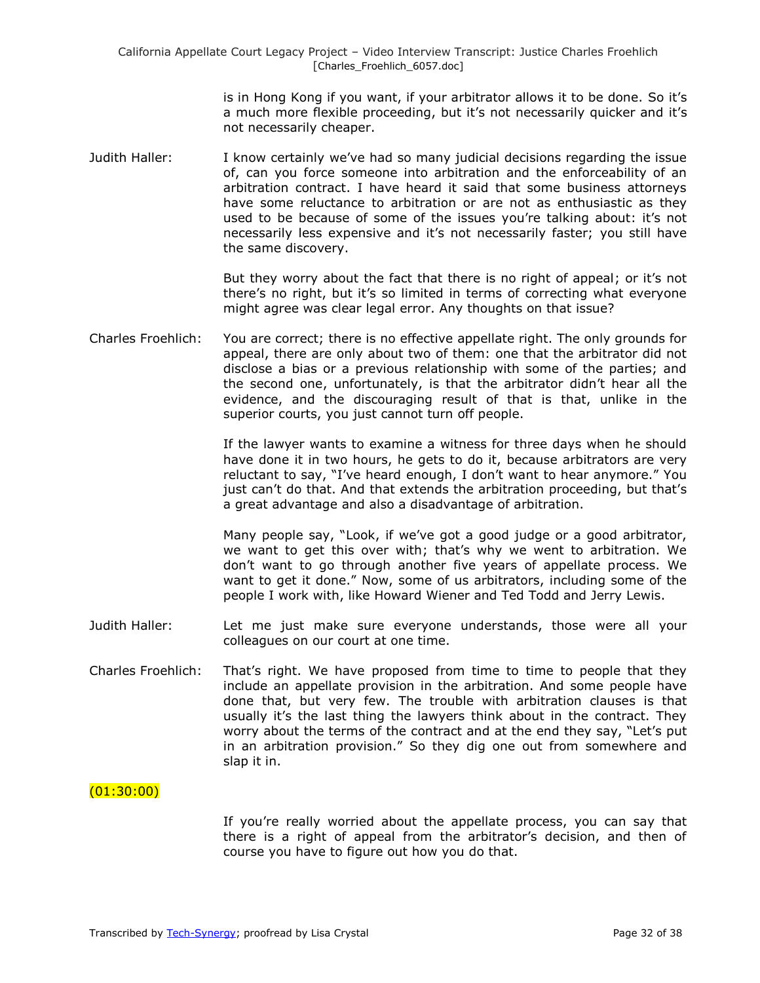is in Hong Kong if you want, if your arbitrator allows it to be done. So it's a much more flexible proceeding, but it's not necessarily quicker and it's not necessarily cheaper.

Judith Haller: I know certainly we've had so many judicial decisions regarding the issue of, can you force someone into arbitration and the enforceability of an arbitration contract. I have heard it said that some business attorneys have some reluctance to arbitration or are not as enthusiastic as they used to be because of some of the issues you're talking about: it's not necessarily less expensive and it's not necessarily faster; you still have the same discovery.

> But they worry about the fact that there is no right of appeal; or it's not there's no right, but it's so limited in terms of correcting what everyone might agree was clear legal error. Any thoughts on that issue?

Charles Froehlich: You are correct; there is no effective appellate right. The only grounds for appeal, there are only about two of them: one that the arbitrator did not disclose a bias or a previous relationship with some of the parties; and the second one, unfortunately, is that the arbitrator didn't hear all the evidence, and the discouraging result of that is that, unlike in the superior courts, you just cannot turn off people.

> If the lawyer wants to examine a witness for three days when he should have done it in two hours, he gets to do it, because arbitrators are very reluctant to say, "I've heard enough, I don't want to hear anymore." You just can't do that. And that extends the arbitration proceeding, but that's a great advantage and also a disadvantage of arbitration.

> Many people say, "Look, if we've got a good judge or a good arbitrator, we want to get this over with; that's why we went to arbitration. We don't want to go through another five years of appellate process. We want to get it done." Now, some of us arbitrators, including some of the people I work with, like Howard Wiener and Ted Todd and Jerry Lewis.

- Judith Haller: Let me just make sure everyone understands, those were all your colleagues on our court at one time.
- Charles Froehlich: That's right. We have proposed from time to time to people that they include an appellate provision in the arbitration. And some people have done that, but very few. The trouble with arbitration clauses is that usually it's the last thing the lawyers think about in the contract. They worry about the terms of the contract and at the end they say, "Let's put in an arbitration provision." So they dig one out from somewhere and slap it in.

## $(01:30:00)$

If you're really worried about the appellate process, you can say that there is a right of appeal from the arbitrator's decision, and then of course you have to figure out how you do that.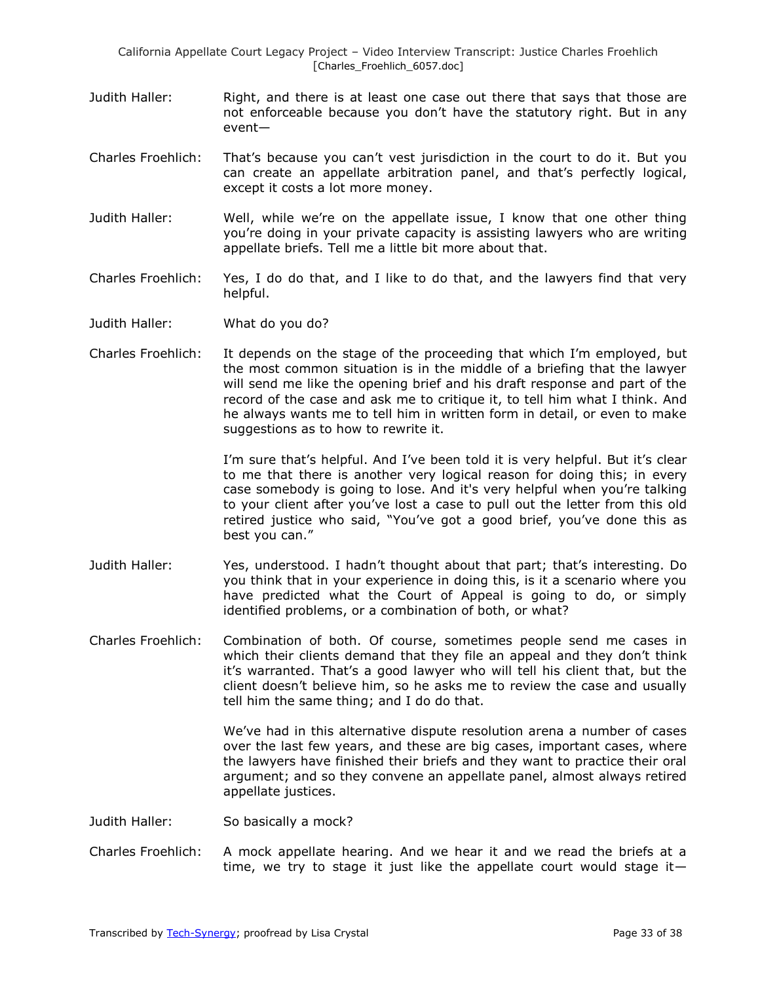- Judith Haller: Right, and there is at least one case out there that says that those are not enforceable because you don't have the statutory right. But in any event—
- Charles Froehlich: That's because you can't vest jurisdiction in the court to do it. But you can create an appellate arbitration panel, and that's perfectly logical, except it costs a lot more money.
- Judith Haller: Well, while we're on the appellate issue, I know that one other thing you're doing in your private capacity is assisting lawyers who are writing appellate briefs. Tell me a little bit more about that.
- Charles Froehlich: Yes, I do do that, and I like to do that, and the lawyers find that very helpful.
- Judith Haller: What do you do?
- Charles Froehlich: It depends on the stage of the proceeding that which I'm employed, but the most common situation is in the middle of a briefing that the lawyer will send me like the opening brief and his draft response and part of the record of the case and ask me to critique it, to tell him what I think. And he always wants me to tell him in written form in detail, or even to make suggestions as to how to rewrite it.

I'm sure that's helpful. And I've been told it is very helpful. But it's clear to me that there is another very logical reason for doing this; in every case somebody is going to lose. And it's very helpful when you're talking to your client after you've lost a case to pull out the letter from this old retired justice who said, "You've got a good brief, you've done this as best you can."

- Judith Haller: Yes, understood. I hadn't thought about that part; that's interesting. Do you think that in your experience in doing this, is it a scenario where you have predicted what the Court of Appeal is going to do, or simply identified problems, or a combination of both, or what?
- Charles Froehlich: Combination of both. Of course, sometimes people send me cases in which their clients demand that they file an appeal and they don't think it's warranted. That's a good lawyer who will tell his client that, but the client doesn't believe him, so he asks me to review the case and usually tell him the same thing; and I do do that.

We've had in this alternative dispute resolution arena a number of cases over the last few years, and these are big cases, important cases, where the lawyers have finished their briefs and they want to practice their oral argument; and so they convene an appellate panel, almost always retired appellate justices.

- Judith Haller: So basically a mock?
- Charles Froehlich: A mock appellate hearing. And we hear it and we read the briefs at a time, we try to stage it just like the appellate court would stage it—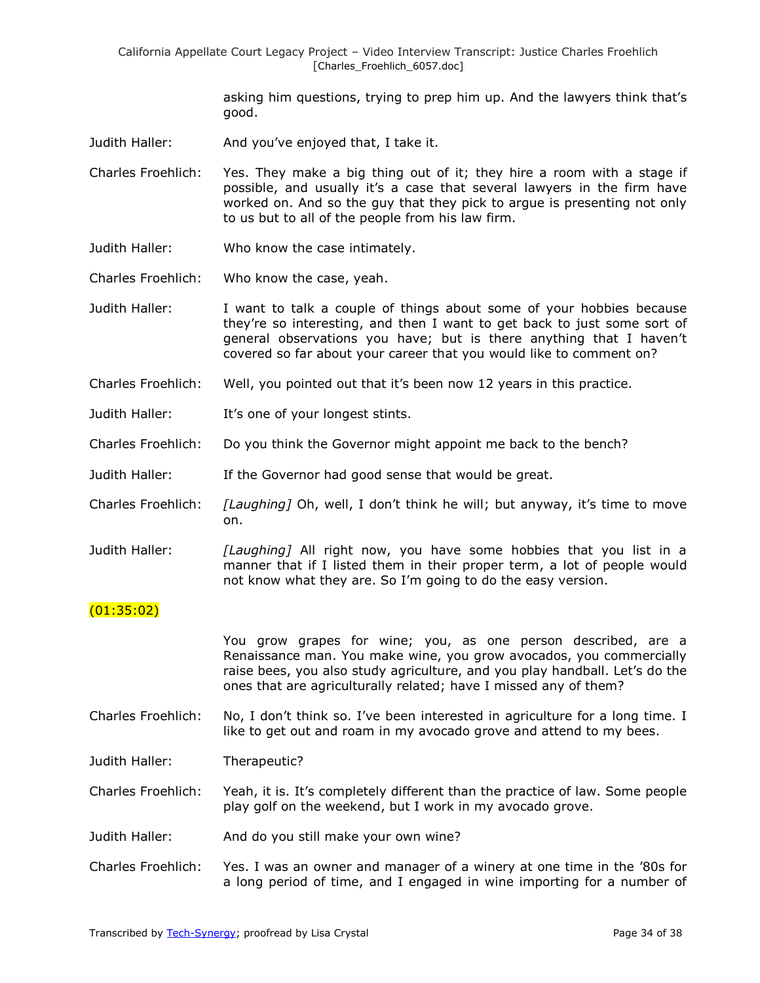> asking him questions, trying to prep him up. And the lawyers think that's good.

Judith Haller: And you've enjoyed that, I take it.

Charles Froehlich: Yes. They make a big thing out of it; they hire a room with a stage if possible, and usually it's a case that several lawyers in the firm have worked on. And so the guy that they pick to argue is presenting not only to us but to all of the people from his law firm.

- Judith Haller: Who know the case intimately.
- Charles Froehlich: Who know the case, yeah.

Judith Haller: I want to talk a couple of things about some of your hobbies because they're so interesting, and then I want to get back to just some sort of general observations you have; but is there anything that I haven't covered so far about your career that you would like to comment on?

- Charles Froehlich: Well, you pointed out that it's been now 12 years in this practice.
- Judith Haller: It's one of your longest stints.
- Charles Froehlich: Do you think the Governor might appoint me back to the bench?
- Judith Haller: If the Governor had good sense that would be great.
- Charles Froehlich: *[Laughing]* Oh, well, I don't think he will; but anyway, it's time to move on.
- Judith Haller: *[Laughing]* All right now, you have some hobbies that you list in a manner that if I listed them in their proper term, a lot of people would not know what they are. So I'm going to do the easy version.

## (01:35:02)

You grow grapes for wine; you, as one person described, are a Renaissance man. You make wine, you grow avocados, you commercially raise bees, you also study agriculture, and you play handball. Let's do the ones that are agriculturally related; have I missed any of them?

Charles Froehlich: No, I don't think so. I've been interested in agriculture for a long time. I like to get out and roam in my avocado grove and attend to my bees.

Judith Haller: Therapeutic?

Charles Froehlich: Yeah, it is. It's completely different than the practice of law. Some people play golf on the weekend, but I work in my avocado grove.

- Judith Haller: And do you still make your own wine?
- Charles Froehlich: Yes. I was an owner and manager of a winery at one time in the '80s for a long period of time, and I engaged in wine importing for a number of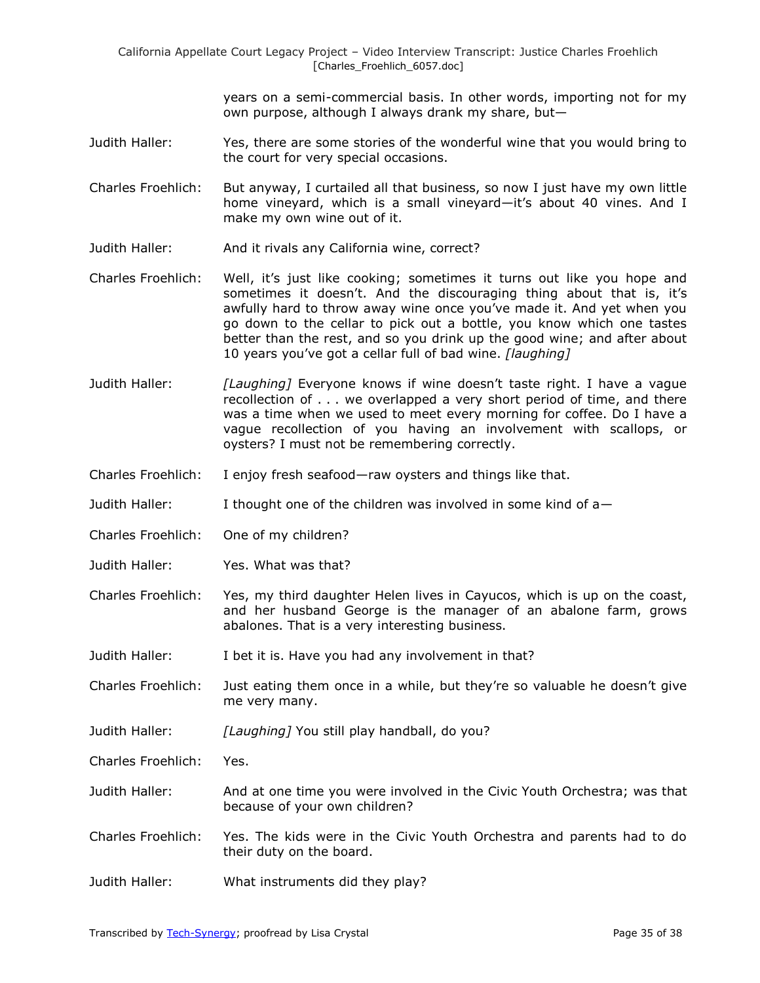> years on a semi-commercial basis. In other words, importing not for my own purpose, although I always drank my share, but—

- Judith Haller: Yes, there are some stories of the wonderful wine that you would bring to the court for very special occasions.
- Charles Froehlich: But anyway, I curtailed all that business, so now I just have my own little home vineyard, which is a small vineyard—it's about 40 vines. And I make my own wine out of it.
- Judith Haller: And it rivals any California wine, correct?
- Charles Froehlich: Well, it's just like cooking; sometimes it turns out like you hope and sometimes it doesn't. And the discouraging thing about that is, it's awfully hard to throw away wine once you've made it. And yet when you go down to the cellar to pick out a bottle, you know which one tastes better than the rest, and so you drink up the good wine; and after about 10 years you've got a cellar full of bad wine. *[laughing]*
- Judith Haller: *[Laughing]* Everyone knows if wine doesn't taste right. I have a vague recollection of . . . we overlapped a very short period of time, and there was a time when we used to meet every morning for coffee. Do I have a vague recollection of you having an involvement with scallops, or oysters? I must not be remembering correctly.
- Charles Froehlich: I enjoy fresh seafood—raw oysters and things like that.
- Judith Haller: I thought one of the children was involved in some kind of a—
- Charles Froehlich: One of my children?
- Judith Haller: Yes. What was that?
- Charles Froehlich: Yes, my third daughter Helen lives in Cayucos, which is up on the coast, and her husband George is the manager of an abalone farm, grows abalones. That is a very interesting business.
- Judith Haller: I bet it is. Have you had any involvement in that?
- Charles Froehlich: Just eating them once in a while, but they're so valuable he doesn't give me very many.
- Judith Haller: *[Laughing]* You still play handball, do you?
- Charles Froehlich: Yes.
- Judith Haller: And at one time you were involved in the Civic Youth Orchestra; was that because of your own children?
- Charles Froehlich: Yes. The kids were in the Civic Youth Orchestra and parents had to do their duty on the board.
- Judith Haller: What instruments did they play?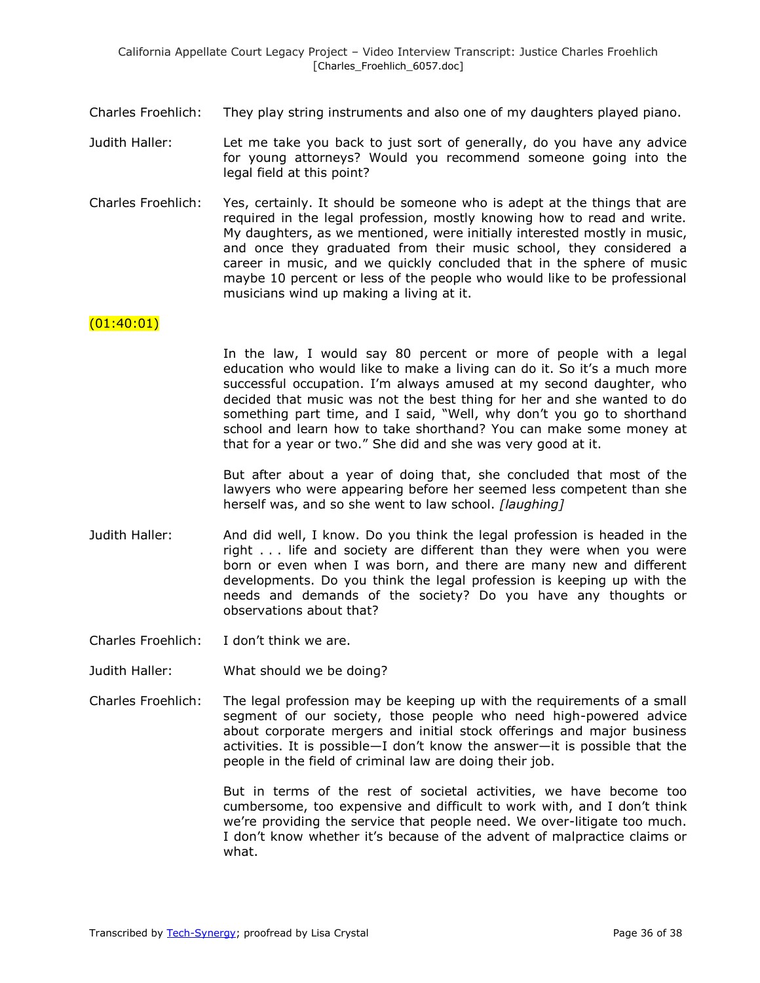- Charles Froehlich: They play string instruments and also one of my daughters played piano.
- Judith Haller: Let me take you back to just sort of generally, do you have any advice for young attorneys? Would you recommend someone going into the legal field at this point?
- Charles Froehlich: Yes, certainly. It should be someone who is adept at the things that are required in the legal profession, mostly knowing how to read and write. My daughters, as we mentioned, were initially interested mostly in music, and once they graduated from their music school, they considered a career in music, and we quickly concluded that in the sphere of music maybe 10 percent or less of the people who would like to be professional musicians wind up making a living at it.

## $(01:40:01)$

In the law, I would say 80 percent or more of people with a legal education who would like to make a living can do it. So it's a much more successful occupation. I'm always amused at my second daughter, who decided that music was not the best thing for her and she wanted to do something part time, and I said, "Well, why don't you go to shorthand school and learn how to take shorthand? You can make some money at that for a year or two." She did and she was very good at it.

But after about a year of doing that, she concluded that most of the lawyers who were appearing before her seemed less competent than she herself was, and so she went to law school. *[laughing]*

- Judith Haller: And did well, I know. Do you think the legal profession is headed in the right . . . life and society are different than they were when you were born or even when I was born, and there are many new and different developments. Do you think the legal profession is keeping up with the needs and demands of the society? Do you have any thoughts or observations about that?
- Charles Froehlich: I don't think we are.
- Judith Haller: What should we be doing?
- Charles Froehlich: The legal profession may be keeping up with the requirements of a small segment of our society, those people who need high-powered advice about corporate mergers and initial stock offerings and major business activities. It is possible—I don't know the answer—it is possible that the people in the field of criminal law are doing their job.

But in terms of the rest of societal activities, we have become too cumbersome, too expensive and difficult to work with, and I don't think we're providing the service that people need. We over-litigate too much. I don't know whether it's because of the advent of malpractice claims or what.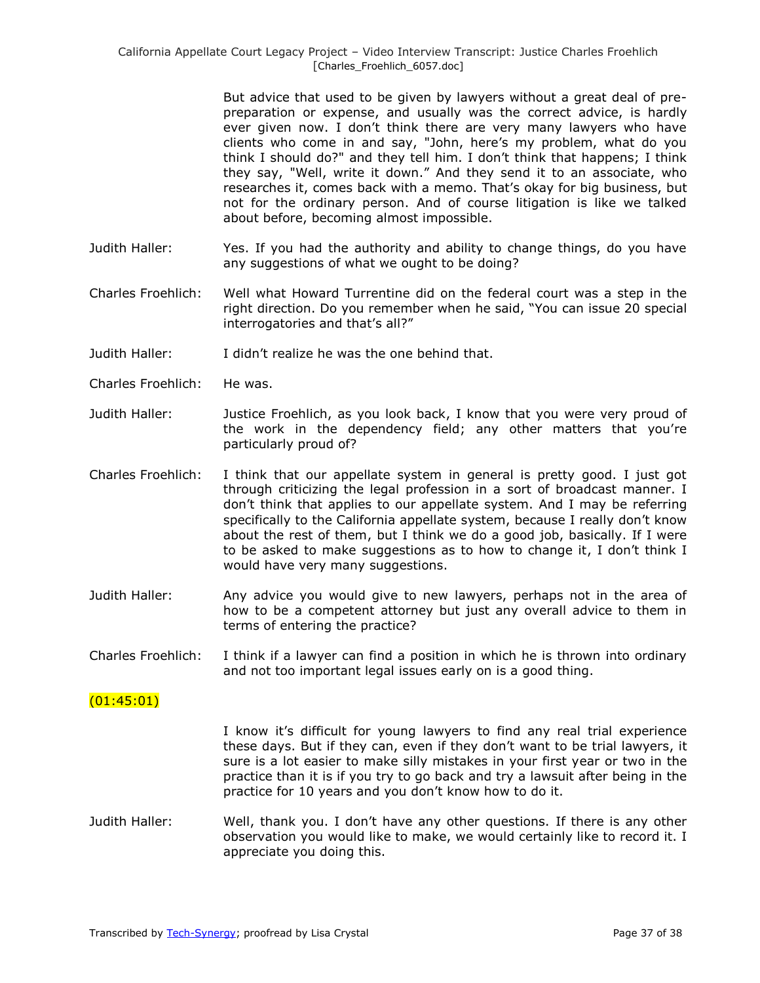But advice that used to be given by lawyers without a great deal of prepreparation or expense, and usually was the correct advice, is hardly ever given now. I don't think there are very many lawyers who have clients who come in and say, "John, here's my problem, what do you think I should do?" and they tell him. I don't think that happens; I think they say, "Well, write it down." And they send it to an associate, who researches it, comes back with a memo. That's okay for big business, but not for the ordinary person. And of course litigation is like we talked about before, becoming almost impossible.

- Judith Haller: Yes. If you had the authority and ability to change things, do you have any suggestions of what we ought to be doing?
- Charles Froehlich: Well what Howard Turrentine did on the federal court was a step in the right direction. Do you remember when he said, "You can issue 20 special interrogatories and that's all?"
- Judith Haller: I didn't realize he was the one behind that.
- Charles Froehlich: He was.
- Judith Haller: Justice Froehlich, as you look back, I know that you were very proud of the work in the dependency field; any other matters that you're particularly proud of?
- Charles Froehlich: I think that our appellate system in general is pretty good. I just got through criticizing the legal profession in a sort of broadcast manner. I don't think that applies to our appellate system. And I may be referring specifically to the California appellate system, because I really don't know about the rest of them, but I think we do a good job, basically. If I were to be asked to make suggestions as to how to change it, I don't think I would have very many suggestions.
- Judith Haller: Any advice you would give to new lawyers, perhaps not in the area of how to be a competent attorney but just any overall advice to them in terms of entering the practice?
- Charles Froehlich: I think if a lawyer can find a position in which he is thrown into ordinary and not too important legal issues early on is a good thing.

## (01:45:01)

I know it's difficult for young lawyers to find any real trial experience these days. But if they can, even if they don't want to be trial lawyers, it sure is a lot easier to make silly mistakes in your first year or two in the practice than it is if you try to go back and try a lawsuit after being in the practice for 10 years and you don't know how to do it.

Judith Haller: Well, thank you. I don't have any other questions. If there is any other observation you would like to make, we would certainly like to record it. I appreciate you doing this.